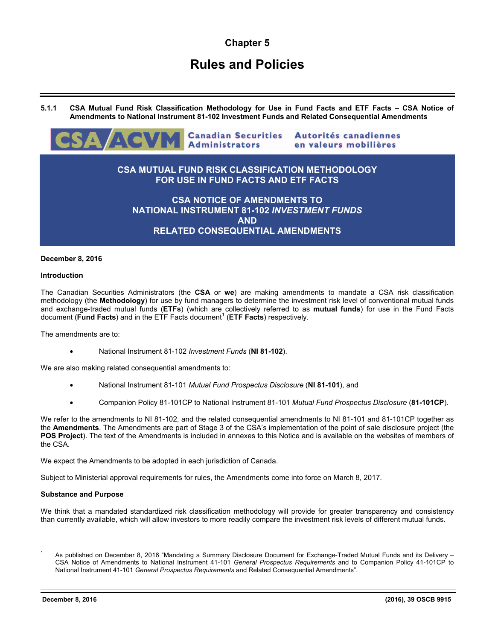# **Chapter 5**

# **Rules and Policies**

**5.1.1 CSA Mutual Fund Risk Classification Methodology for Use in Fund Facts and ETF Facts – CSA Notice of Amendments to National Instrument 81-102 Investment Funds and Related Consequential Amendments** 



# **December 8, 2016**

#### **Introduction**

The Canadian Securities Administrators (the **CSA** or **we**) are making amendments to mandate a CSA risk classification methodology (the **Methodology**) for use by fund managers to determine the investment risk level of conventional mutual funds and exchange-traded mutual funds (**ETFs**) (which are collectively referred to as **mutual funds**) for use in the Fund Facts document (Fund Facts) and in the ETF Facts document<sup>1</sup> (ETF Facts) respectively.

The amendments are to:

• National Instrument 81-102 *Investment Funds* (**NI 81-102**).

We are also making related consequential amendments to:

- National Instrument 81-101 *Mutual Fund Prospectus Disclosure* (**NI 81-101**), and
- Companion Policy 81-101CP to National Instrument 81-101 *Mutual Fund Prospectus Disclosure* (**81-101CP**).

We refer to the amendments to NI 81-102, and the related consequential amendments to NI 81-101 and 81-101CP together as the **Amendments**. The Amendments are part of Stage 3 of the CSA's implementation of the point of sale disclosure project (the **POS Project**). The text of the Amendments is included in annexes to this Notice and is available on the websites of members of the CSA.

We expect the Amendments to be adopted in each jurisdiction of Canada.

Subject to Ministerial approval requirements for rules, the Amendments come into force on March 8, 2017.

#### **Substance and Purpose**

We think that a mandated standardized risk classification methodology will provide for greater transparency and consistency than currently available, which will allow investors to more readily compare the investment risk levels of different mutual funds.

l

<sup>1</sup> As published on December 8, 2016 "Mandating a Summary Disclosure Document for Exchange-Traded Mutual Funds and its Delivery – CSA Notice of Amendments to National Instrument 41-101 *General Prospectus Requirements* and to Companion Policy 41-101CP to National Instrument 41-101 *General Prospectus Requirements* and Related Consequential Amendments".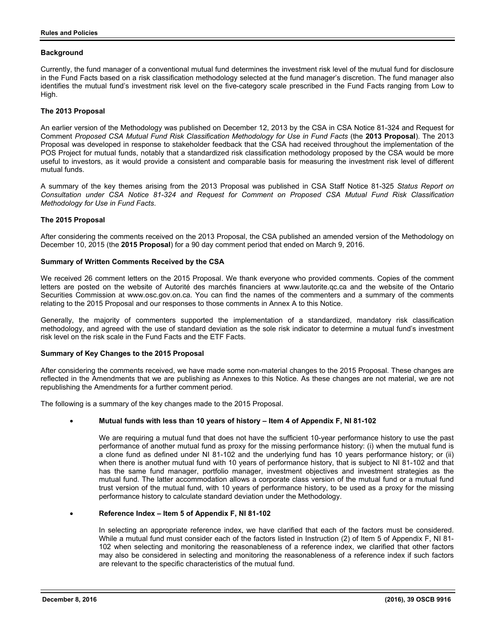# **Background**

Currently, the fund manager of a conventional mutual fund determines the investment risk level of the mutual fund for disclosure in the Fund Facts based on a risk classification methodology selected at the fund manager's discretion. The fund manager also identifies the mutual fund's investment risk level on the five-category scale prescribed in the Fund Facts ranging from Low to High.

# **The 2013 Proposal**

An earlier version of the Methodology was published on December 12, 2013 by the CSA in CSA Notice 81-324 and Request for Comment *Proposed CSA Mutual Fund Risk Classification Methodology for Use in Fund Facts* (the **2013 Proposal**). The 2013 Proposal was developed in response to stakeholder feedback that the CSA had received throughout the implementation of the POS Project for mutual funds, notably that a standardized risk classification methodology proposed by the CSA would be more useful to investors, as it would provide a consistent and comparable basis for measuring the investment risk level of different mutual funds.

A summary of the key themes arising from the 2013 Proposal was published in CSA Staff Notice 81-325 *Status Report on Consultation under CSA Notice 81-324 and Request for Comment on Proposed CSA Mutual Fund Risk Classification Methodology for Use in Fund Facts*.

## **The 2015 Proposal**

After considering the comments received on the 2013 Proposal, the CSA published an amended version of the Methodology on December 10, 2015 (the **2015 Proposal**) for a 90 day comment period that ended on March 9, 2016.

## **Summary of Written Comments Received by the CSA**

We received 26 comment letters on the 2015 Proposal. We thank everyone who provided comments. Copies of the comment letters are posted on the website of Autorité des marchés financiers at www.lautorite.qc.ca and the website of the Ontario Securities Commission at www.osc.gov.on.ca. You can find the names of the commenters and a summary of the comments relating to the 2015 Proposal and our responses to those comments in Annex A to this Notice.

Generally, the majority of commenters supported the implementation of a standardized, mandatory risk classification methodology, and agreed with the use of standard deviation as the sole risk indicator to determine a mutual fund's investment risk level on the risk scale in the Fund Facts and the ETF Facts.

#### **Summary of Key Changes to the 2015 Proposal**

After considering the comments received, we have made some non-material changes to the 2015 Proposal. These changes are reflected in the Amendments that we are publishing as Annexes to this Notice. As these changes are not material, we are not republishing the Amendments for a further comment period.

The following is a summary of the key changes made to the 2015 Proposal.

# • **Mutual funds with less than 10 years of history – Item 4 of Appendix F, NI 81-102**

We are requiring a mutual fund that does not have the sufficient 10-year performance history to use the past performance of another mutual fund as proxy for the missing performance history: (i) when the mutual fund is a clone fund as defined under NI 81-102 and the underlying fund has 10 years performance history; or (ii) when there is another mutual fund with 10 years of performance history, that is subject to NI 81-102 and that has the same fund manager, portfolio manager, investment objectives and investment strategies as the mutual fund. The latter accommodation allows a corporate class version of the mutual fund or a mutual fund trust version of the mutual fund, with 10 years of performance history, to be used as a proxy for the missing performance history to calculate standard deviation under the Methodology.

#### • **Reference Index – Item 5 of Appendix F, NI 81-102**

In selecting an appropriate reference index, we have clarified that each of the factors must be considered. While a mutual fund must consider each of the factors listed in Instruction (2) of Item 5 of Appendix F, NI 81- 102 when selecting and monitoring the reasonableness of a reference index, we clarified that other factors may also be considered in selecting and monitoring the reasonableness of a reference index if such factors are relevant to the specific characteristics of the mutual fund.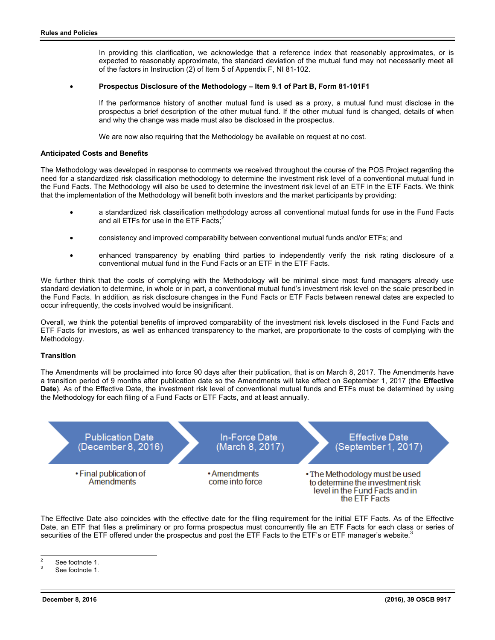In providing this clarification, we acknowledge that a reference index that reasonably approximates, or is expected to reasonably approximate, the standard deviation of the mutual fund may not necessarily meet all of the factors in Instruction (2) of Item 5 of Appendix F, NI 81-102.

## • **Prospectus Disclosure of the Methodology – Item 9.1 of Part B, Form 81-101F1**

If the performance history of another mutual fund is used as a proxy, a mutual fund must disclose in the prospectus a brief description of the other mutual fund. If the other mutual fund is changed, details of when and why the change was made must also be disclosed in the prospectus.

We are now also requiring that the Methodology be available on request at no cost.

#### **Anticipated Costs and Benefits**

The Methodology was developed in response to comments we received throughout the course of the POS Project regarding the need for a standardized risk classification methodology to determine the investment risk level of a conventional mutual fund in the Fund Facts. The Methodology will also be used to determine the investment risk level of an ETF in the ETF Facts. We think that the implementation of the Methodology will benefit both investors and the market participants by providing:

- a standardized risk classification methodology across all conventional mutual funds for use in the Fund Facts and all ETFs for use in the ETF Facts;<sup>2</sup>
- consistency and improved comparability between conventional mutual funds and/or ETFs; and
- enhanced transparency by enabling third parties to independently verify the risk rating disclosure of a conventional mutual fund in the Fund Facts or an ETF in the ETF Facts.

We further think that the costs of complying with the Methodology will be minimal since most fund managers already use standard deviation to determine, in whole or in part, a conventional mutual fund's investment risk level on the scale prescribed in the Fund Facts. In addition, as risk disclosure changes in the Fund Facts or ETF Facts between renewal dates are expected to occur infrequently, the costs involved would be insignificant.

Overall, we think the potential benefits of improved comparability of the investment risk levels disclosed in the Fund Facts and ETF Facts for investors, as well as enhanced transparency to the market, are proportionate to the costs of complying with the Methodology.

# **Transition**

The Amendments will be proclaimed into force 90 days after their publication, that is on March 8, 2017. The Amendments have a transition period of 9 months after publication date so the Amendments will take effect on September 1, 2017 (the **Effective Date**). As of the Effective Date, the investment risk level of conventional mutual funds and ETFs must be determined by using the Methodology for each filing of a Fund Facts or ETF Facts, and at least annually.



The Effective Date also coincides with the effective date for the filing requirement for the initial ETF Facts. As of the Effective Date, an ETF that files a preliminary or pro forma prospectus must concurrently file an ETF Facts for each class or series of securities of the ETF offered under the prospectus and post the ETF Facts to the ETF's or ETF manager's website.<sup>3</sup>

 $\frac{1}{2}$ See footnote 1.

<sup>3</sup> See footnote 1.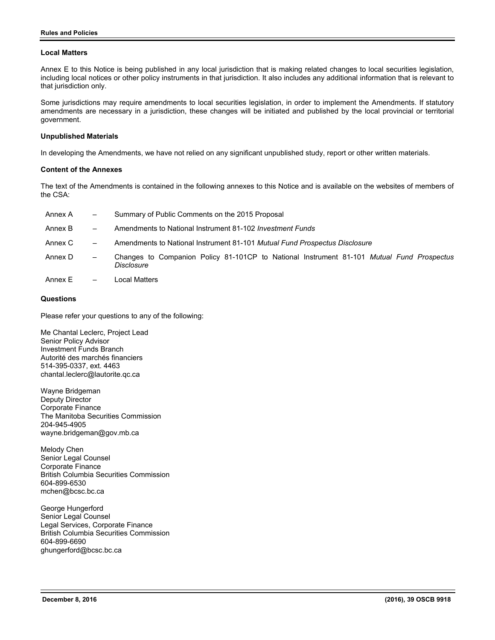# **Local Matters**

Annex E to this Notice is being published in any local jurisdiction that is making related changes to local securities legislation, including local notices or other policy instruments in that jurisdiction. It also includes any additional information that is relevant to that jurisdiction only.

Some jurisdictions may require amendments to local securities legislation, in order to implement the Amendments. If statutory amendments are necessary in a jurisdiction, these changes will be initiated and published by the local provincial or territorial government.

## **Unpublished Materials**

In developing the Amendments, we have not relied on any significant unpublished study, report or other written materials.

## **Content of the Annexes**

The text of the Amendments is contained in the following annexes to this Notice and is available on the websites of members of the CSA:

| Annex A | $\qquad \qquad =$        | Summary of Public Comments on the 2015 Proposal                                                         |
|---------|--------------------------|---------------------------------------------------------------------------------------------------------|
| Annex B | $\qquad \qquad -$        | Amendments to National Instrument 81-102 <i>Investment Funds</i>                                        |
| Annex C | $\overline{\phantom{m}}$ | Amendments to National Instrument 81-101 Mutual Fund Prospectus Disclosure                              |
| Annex D | $\overline{\phantom{m}}$ | Changes to Companion Policy 81-101CP to National Instrument 81-101 Mutual Fund Prospectus<br>Disclosure |
| Annex E | $\overline{\phantom{m}}$ | Local Matters                                                                                           |

# **Questions**

Please refer your questions to any of the following:

Me Chantal Leclerc, Project Lead Senior Policy Advisor Investment Funds Branch Autorité des marchés financiers 514-395-0337, ext. 4463 chantal.leclerc@lautorite.qc.ca

Wayne Bridgeman Deputy Director Corporate Finance The Manitoba Securities Commission 204-945-4905 wayne.bridgeman@gov.mb.ca

Melody Chen Senior Legal Counsel Corporate Finance British Columbia Securities Commission 604-899-6530 mchen@bcsc.bc.ca

George Hungerford Senior Legal Counsel Legal Services, Corporate Finance British Columbia Securities Commission 604-899-6690 ghungerford@bcsc.bc.ca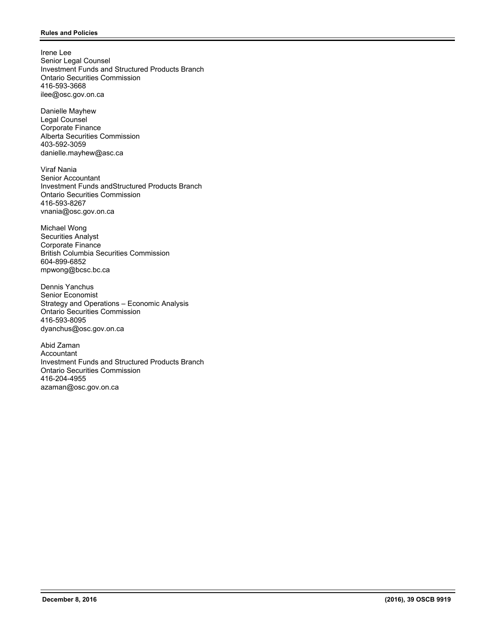Irene Lee Senior Legal Counsel Investment Funds and Structured Products Branch Ontario Securities Commission 416-593-3668 ilee@osc.gov.on.ca

Danielle Mayhew Legal Counsel Corporate Finance Alberta Securities Commission 403-592-3059 danielle.mayhew@asc.ca

Viraf Nania Senior Accountant Investment Funds andStructured Products Branch Ontario Securities Commission 416-593-8267 vnania@osc.gov.on.ca

Michael Wong Securities Analyst Corporate Finance British Columbia Securities Commission 604-899-6852 mpwong@bcsc.bc.ca

Dennis Yanchus Senior Economist Strategy and Operations – Economic Analysis Ontario Securities Commission 416-593-8095 dyanchus@osc.gov.on.ca

Abid Zaman Accountant Investment Funds and Structured Products Branch Ontario Securities Commission 416-204-4955 azaman@osc.gov.on.ca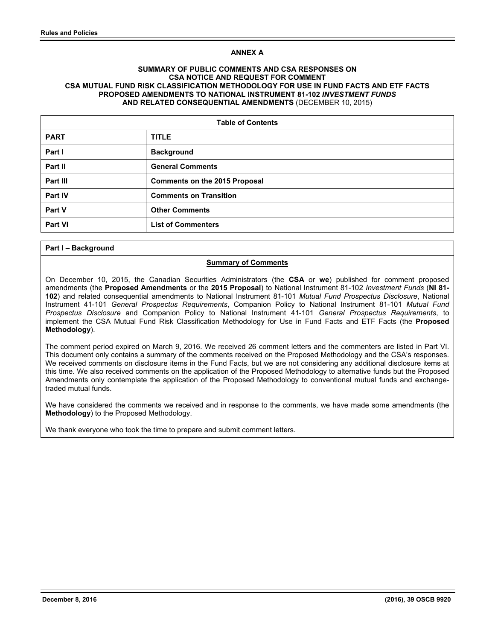# **ANNEX A**

# **SUMMARY OF PUBLIC COMMENTS AND CSA RESPONSES ON CSA NOTICE AND REQUEST FOR COMMENT CSA MUTUAL FUND RISK CLASSIFICATION METHODOLOGY FOR USE IN FUND FACTS AND ETF FACTS PROPOSED AMENDMENTS TO NATIONAL INSTRUMENT 81-102** *INVESTMENT FUNDS* **AND RELATED CONSEQUENTIAL AMENDMENTS** (DECEMBER 10, 2015)

| <b>Table of Contents</b> |                                      |  |
|--------------------------|--------------------------------------|--|
| <b>PART</b>              | <b>TITLE</b>                         |  |
| Part I                   | <b>Background</b>                    |  |
| Part II                  | <b>General Comments</b>              |  |
| Part III                 | <b>Comments on the 2015 Proposal</b> |  |
| Part IV                  | <b>Comments on Transition</b>        |  |
| Part V                   | <b>Other Comments</b>                |  |
| <b>Part VI</b>           | <b>List of Commenters</b>            |  |

## **Part I – Background**

## **Summary of Comments**

On December 10, 2015, the Canadian Securities Administrators (the **CSA** or **we**) published for comment proposed amendments (the **Proposed Amendments** or the **2015 Proposal**) to National Instrument 81-102 *Investment Funds* (**NI 81- 102**) and related consequential amendments to National Instrument 81-101 *Mutual Fund Prospectus Disclosure*, National Instrument 41-101 *General Prospectus Requirements*, Companion Policy to National Instrument 81-101 *Mutual Fund Prospectus Disclosure* and Companion Policy to National Instrument 41-101 *General Prospectus Requirements*, to implement the CSA Mutual Fund Risk Classification Methodology for Use in Fund Facts and ETF Facts (the **Proposed Methodology**).

The comment period expired on March 9, 2016. We received 26 comment letters and the commenters are listed in Part VI. This document only contains a summary of the comments received on the Proposed Methodology and the CSA's responses. We received comments on disclosure items in the Fund Facts, but we are not considering any additional disclosure items at this time. We also received comments on the application of the Proposed Methodology to alternative funds but the Proposed Amendments only contemplate the application of the Proposed Methodology to conventional mutual funds and exchangetraded mutual funds.

We have considered the comments we received and in response to the comments, we have made some amendments (the **Methodology**) to the Proposed Methodology.

We thank everyone who took the time to prepare and submit comment letters.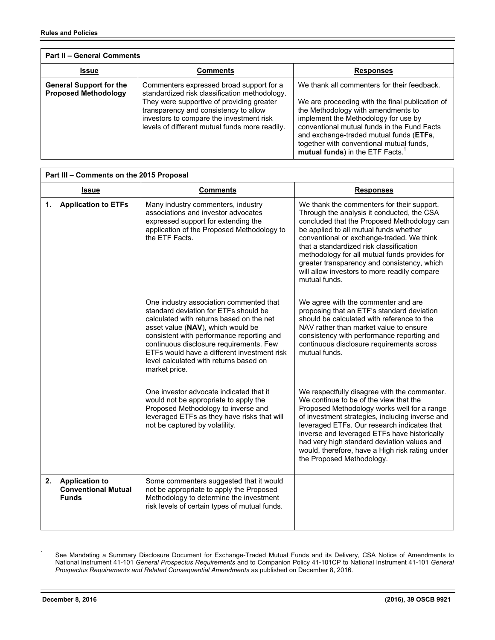| <b>Part II - General Comments</b>                             |                                                                                                                                                                                                                                                                               |                                                                                                                                                                                                                                                                                                                                                                    |
|---------------------------------------------------------------|-------------------------------------------------------------------------------------------------------------------------------------------------------------------------------------------------------------------------------------------------------------------------------|--------------------------------------------------------------------------------------------------------------------------------------------------------------------------------------------------------------------------------------------------------------------------------------------------------------------------------------------------------------------|
| <b>Issue</b>                                                  | Comments                                                                                                                                                                                                                                                                      | <b>Responses</b>                                                                                                                                                                                                                                                                                                                                                   |
| <b>General Support for the</b><br><b>Proposed Methodology</b> | Commenters expressed broad support for a<br>standardized risk classification methodology.<br>They were supportive of providing greater<br>transparency and consistency to allow<br>investors to compare the investment risk<br>levels of different mutual funds more readily. | We thank all commenters for their feedback.<br>We are proceeding with the final publication of<br>the Methodology with amendments to<br>implement the Methodology for use by<br>conventional mutual funds in the Fund Facts<br>and exchange-traded mutual funds (ETFs,<br>together with conventional mutual funds,<br>mutual funds) in the ETF Facts. <sup>1</sup> |

| Part III - Comments on the 2015 Proposal |                                                                     |                                                                                                                                                                                                                                                                                                                                                                     |                                                                                                                                                                                                                                                                                                                                                                                                                                            |
|------------------------------------------|---------------------------------------------------------------------|---------------------------------------------------------------------------------------------------------------------------------------------------------------------------------------------------------------------------------------------------------------------------------------------------------------------------------------------------------------------|--------------------------------------------------------------------------------------------------------------------------------------------------------------------------------------------------------------------------------------------------------------------------------------------------------------------------------------------------------------------------------------------------------------------------------------------|
|                                          | <b>Issue</b>                                                        | <b>Comments</b>                                                                                                                                                                                                                                                                                                                                                     | <b>Responses</b>                                                                                                                                                                                                                                                                                                                                                                                                                           |
| 1.                                       | <b>Application to ETFs</b>                                          | Many industry commenters, industry<br>associations and investor advocates<br>expressed support for extending the<br>application of the Proposed Methodology to<br>the ETF Facts.                                                                                                                                                                                    | We thank the commenters for their support.<br>Through the analysis it conducted, the CSA<br>concluded that the Proposed Methodology can<br>be applied to all mutual funds whether<br>conventional or exchange-traded. We think<br>that a standardized risk classification<br>methodology for all mutual funds provides for<br>greater transparency and consistency, which<br>will allow investors to more readily compare<br>mutual funds. |
|                                          |                                                                     | One industry association commented that<br>standard deviation for ETFs should be<br>calculated with returns based on the net<br>asset value (NAV), which would be<br>consistent with performance reporting and<br>continuous disclosure requirements. Few<br>ETFs would have a different investment risk<br>level calculated with returns based on<br>market price. | We agree with the commenter and are<br>proposing that an ETF's standard deviation<br>should be calculated with reference to the<br>NAV rather than market value to ensure<br>consistency with performance reporting and<br>continuous disclosure requirements across<br>mutual funds.                                                                                                                                                      |
|                                          |                                                                     | One investor advocate indicated that it<br>would not be appropriate to apply the<br>Proposed Methodology to inverse and<br>leveraged ETFs as they have risks that will<br>not be captured by volatility.                                                                                                                                                            | We respectfully disagree with the commenter.<br>We continue to be of the view that the<br>Proposed Methodology works well for a range<br>of investment strategies, including inverse and<br>leveraged ETFs. Our research indicates that<br>inverse and leveraged ETFs have historically<br>had very high standard deviation values and<br>would, therefore, have a High risk rating under<br>the Proposed Methodology.                     |
| 2.                                       | <b>Application to</b><br><b>Conventional Mutual</b><br><b>Funds</b> | Some commenters suggested that it would<br>not be appropriate to apply the Proposed<br>Methodology to determine the investment<br>risk levels of certain types of mutual funds.                                                                                                                                                                                     |                                                                                                                                                                                                                                                                                                                                                                                                                                            |

<sup>|&</sup>lt;br>1 See Mandating a Summary Disclosure Document for Exchange-Traded Mutual Funds and its Delivery, CSA Notice of Amendments to National Instrument 41-101 *General Prospectus Requirements* and to Companion Policy 41-101CP to National Instrument 41-101 *General Prospectus Requirements and Related Consequential Amendments* as published on December 8, 2016*.*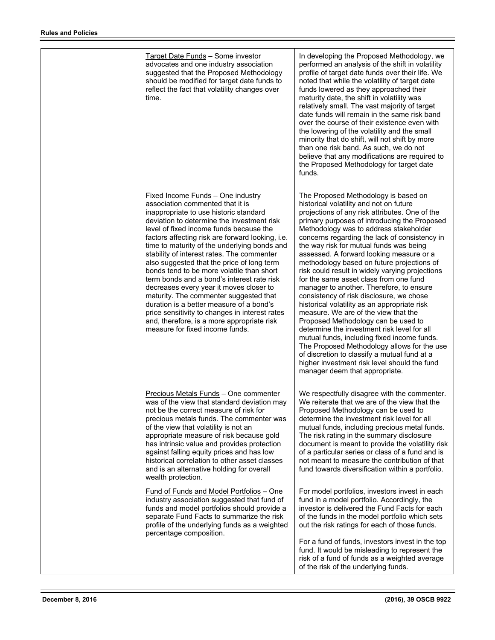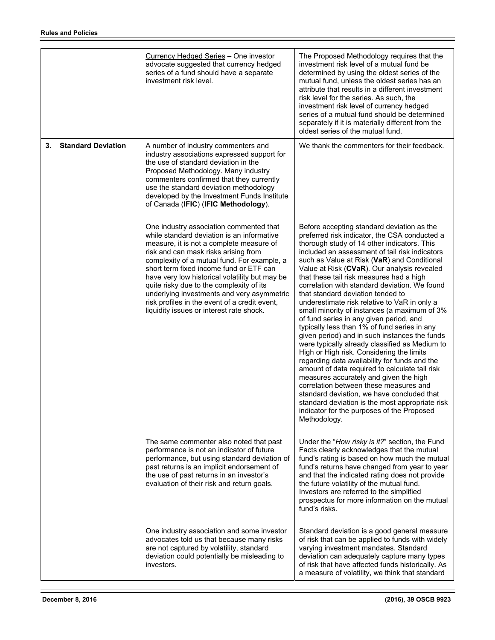|    |                           | <b>Currency Hedged Series - One investor</b><br>advocate suggested that currency hedged<br>series of a fund should have a separate<br>investment risk level.                                                                                                                                                                                                                                                                                                                                                 | The Proposed Methodology requires that the<br>investment risk level of a mutual fund be<br>determined by using the oldest series of the<br>mutual fund, unless the oldest series has an<br>attribute that results in a different investment<br>risk level for the series. As such, the<br>investment risk level of currency hedged<br>series of a mutual fund should be determined<br>separately if it is materially different from the<br>oldest series of the mutual fund.                                                                                                                                                                                                                                                                                                                                                                                                                                                                                                                                                                                                                                                  |
|----|---------------------------|--------------------------------------------------------------------------------------------------------------------------------------------------------------------------------------------------------------------------------------------------------------------------------------------------------------------------------------------------------------------------------------------------------------------------------------------------------------------------------------------------------------|-------------------------------------------------------------------------------------------------------------------------------------------------------------------------------------------------------------------------------------------------------------------------------------------------------------------------------------------------------------------------------------------------------------------------------------------------------------------------------------------------------------------------------------------------------------------------------------------------------------------------------------------------------------------------------------------------------------------------------------------------------------------------------------------------------------------------------------------------------------------------------------------------------------------------------------------------------------------------------------------------------------------------------------------------------------------------------------------------------------------------------|
| 3. | <b>Standard Deviation</b> | A number of industry commenters and<br>industry associations expressed support for<br>the use of standard deviation in the<br>Proposed Methodology. Many industry<br>commenters confirmed that they currently<br>use the standard deviation methodology<br>developed by the Investment Funds Institute<br>of Canada (IFIC) (IFIC Methodology).                                                                                                                                                               | We thank the commenters for their feedback.                                                                                                                                                                                                                                                                                                                                                                                                                                                                                                                                                                                                                                                                                                                                                                                                                                                                                                                                                                                                                                                                                   |
|    |                           | One industry association commented that<br>while standard deviation is an informative<br>measure, it is not a complete measure of<br>risk and can mask risks arising from<br>complexity of a mutual fund. For example, a<br>short term fixed income fund or ETF can<br>have very low historical volatility but may be<br>quite risky due to the complexity of its<br>underlying investments and very asymmetric<br>risk profiles in the event of a credit event,<br>liquidity issues or interest rate shock. | Before accepting standard deviation as the<br>preferred risk indicator, the CSA conducted a<br>thorough study of 14 other indicators. This<br>included an assessment of tail risk indicators<br>such as Value at Risk (VaR) and Conditional<br>Value at Risk (CVaR). Our analysis revealed<br>that these tail risk measures had a high<br>correlation with standard deviation. We found<br>that standard deviation tended to<br>underestimate risk relative to VaR in only a<br>small minority of instances (a maximum of 3%<br>of fund series in any given period, and<br>typically less than 1% of fund series in any<br>given period) and in such instances the funds<br>were typically already classified as Medium to<br>High or High risk. Considering the limits<br>regarding data availability for funds and the<br>amount of data required to calculate tail risk<br>measures accurately and given the high<br>correlation between these measures and<br>standard deviation, we have concluded that<br>standard deviation is the most appropriate risk<br>indicator for the purposes of the Proposed<br>Methodology. |
|    |                           | The same commenter also noted that past<br>performance is not an indicator of future<br>performance, but using standard deviation of<br>past returns is an implicit endorsement of<br>the use of past returns in an investor's<br>evaluation of their risk and return goals.                                                                                                                                                                                                                                 | Under the "How risky is it?" section, the Fund<br>Facts clearly acknowledges that the mutual<br>fund's rating is based on how much the mutual<br>fund's returns have changed from year to year<br>and that the indicated rating does not provide<br>the future volatility of the mutual fund.<br>Investors are referred to the simplified<br>prospectus for more information on the mutual<br>fund's risks.                                                                                                                                                                                                                                                                                                                                                                                                                                                                                                                                                                                                                                                                                                                   |
|    |                           | One industry association and some investor<br>advocates told us that because many risks<br>are not captured by volatility, standard<br>deviation could potentially be misleading to<br>investors.                                                                                                                                                                                                                                                                                                            | Standard deviation is a good general measure<br>of risk that can be applied to funds with widely<br>varying investment mandates. Standard<br>deviation can adequately capture many types<br>of risk that have affected funds historically. As<br>a measure of volatility, we think that standard                                                                                                                                                                                                                                                                                                                                                                                                                                                                                                                                                                                                                                                                                                                                                                                                                              |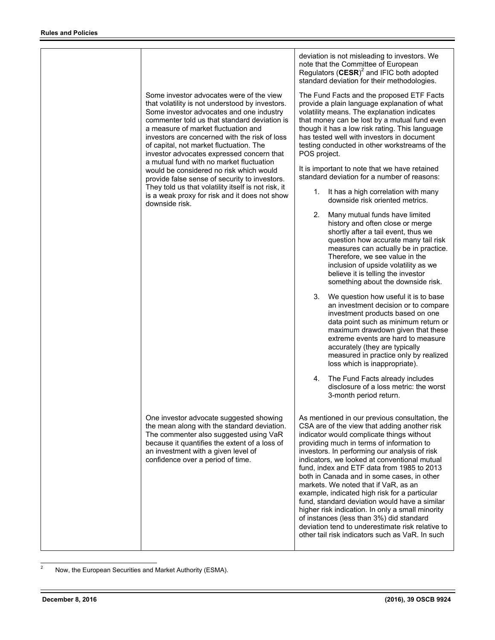|                                                                                                                                                                                                                                                                                                                                                                                                                     | deviation is not misleading to investors. We<br>note that the Committee of European<br>Regulators $(CESR)^2$ and IFIC both adopted<br>standard deviation for their methodologies.                                                                                                                                                                                                                                                                                                                                                                                                                                                                                                                                                      |
|---------------------------------------------------------------------------------------------------------------------------------------------------------------------------------------------------------------------------------------------------------------------------------------------------------------------------------------------------------------------------------------------------------------------|----------------------------------------------------------------------------------------------------------------------------------------------------------------------------------------------------------------------------------------------------------------------------------------------------------------------------------------------------------------------------------------------------------------------------------------------------------------------------------------------------------------------------------------------------------------------------------------------------------------------------------------------------------------------------------------------------------------------------------------|
| Some investor advocates were of the view<br>that volatility is not understood by investors.<br>Some investor advocates and one industry<br>commenter told us that standard deviation is<br>a measure of market fluctuation and<br>investors are concerned with the risk of loss<br>of capital, not market fluctuation. The<br>investor advocates expressed concern that<br>a mutual fund with no market fluctuation | The Fund Facts and the proposed ETF Facts<br>provide a plain language explanation of what<br>volatility means. The explanation indicates<br>that money can be lost by a mutual fund even<br>though it has a low risk rating. This language<br>has tested well with investors in document<br>testing conducted in other workstreams of the<br>POS project.                                                                                                                                                                                                                                                                                                                                                                              |
| would be considered no risk which would<br>provide false sense of security to investors.                                                                                                                                                                                                                                                                                                                            | It is important to note that we have retained<br>standard deviation for a number of reasons:                                                                                                                                                                                                                                                                                                                                                                                                                                                                                                                                                                                                                                           |
| They told us that volatility itself is not risk, it<br>is a weak proxy for risk and it does not show<br>downside risk.                                                                                                                                                                                                                                                                                              | It has a high correlation with many<br>1.<br>downside risk oriented metrics.                                                                                                                                                                                                                                                                                                                                                                                                                                                                                                                                                                                                                                                           |
|                                                                                                                                                                                                                                                                                                                                                                                                                     | 2.<br>Many mutual funds have limited<br>history and often close or merge<br>shortly after a tail event, thus we<br>question how accurate many tail risk<br>measures can actually be in practice.<br>Therefore, we see value in the<br>inclusion of upside volatility as we<br>believe it is telling the investor<br>something about the downside risk.                                                                                                                                                                                                                                                                                                                                                                                 |
|                                                                                                                                                                                                                                                                                                                                                                                                                     | 3.<br>We question how useful it is to base<br>an investment decision or to compare<br>investment products based on one<br>data point such as minimum return or<br>maximum drawdown given that these<br>extreme events are hard to measure<br>accurately (they are typically<br>measured in practice only by realized<br>loss which is inappropriate).                                                                                                                                                                                                                                                                                                                                                                                  |
|                                                                                                                                                                                                                                                                                                                                                                                                                     | The Fund Facts already includes<br>4.<br>disclosure of a loss metric: the worst<br>3-month period return.                                                                                                                                                                                                                                                                                                                                                                                                                                                                                                                                                                                                                              |
| One investor advocate suggested showing<br>the mean along with the standard deviation.<br>The commenter also suggested using VaR<br>because it quantifies the extent of a loss of<br>an investment with a given level of<br>confidence over a period of time.                                                                                                                                                       | As mentioned in our previous consultation, the<br>CSA are of the view that adding another risk<br>indicator would complicate things without<br>providing much in terms of information to<br>investors. In performing our analysis of risk<br>indicators, we looked at conventional mutual<br>fund, index and ETF data from 1985 to 2013<br>both in Canada and in some cases, in other<br>markets. We noted that if VaR, as an<br>example, indicated high risk for a particular<br>fund, standard deviation would have a similar<br>higher risk indication. In only a small minority<br>of instances (less than 3%) did standard<br>deviation tend to underestimate risk relative to<br>other tail risk indicators such as VaR. In such |

<sup>&</sup>lt;sup>2</sup> Now, the European Securities and Market Authority (ESMA).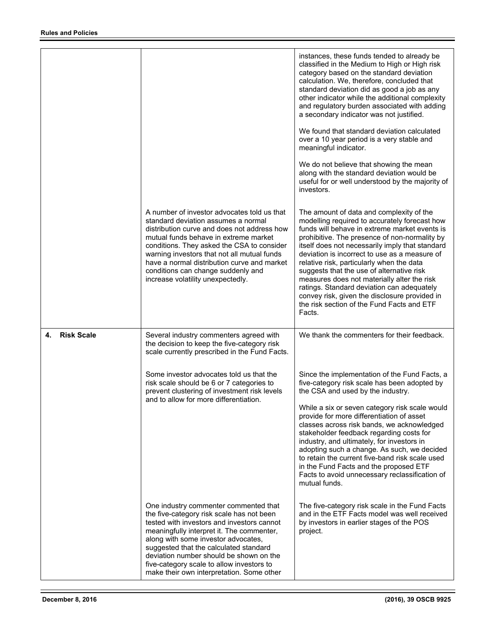|                         |                                                                                                                                                                                                                                                                                                                                                                                                     | instances, these funds tended to already be<br>classified in the Medium to High or High risk<br>category based on the standard deviation<br>calculation. We, therefore, concluded that<br>standard deviation did as good a job as any<br>other indicator while the additional complexity<br>and regulatory burden associated with adding<br>a secondary indicator was not justified.                                                                                                                                                                                                            |
|-------------------------|-----------------------------------------------------------------------------------------------------------------------------------------------------------------------------------------------------------------------------------------------------------------------------------------------------------------------------------------------------------------------------------------------------|-------------------------------------------------------------------------------------------------------------------------------------------------------------------------------------------------------------------------------------------------------------------------------------------------------------------------------------------------------------------------------------------------------------------------------------------------------------------------------------------------------------------------------------------------------------------------------------------------|
|                         |                                                                                                                                                                                                                                                                                                                                                                                                     | We found that standard deviation calculated<br>over a 10 year period is a very stable and<br>meaningful indicator.                                                                                                                                                                                                                                                                                                                                                                                                                                                                              |
|                         |                                                                                                                                                                                                                                                                                                                                                                                                     | We do not believe that showing the mean<br>along with the standard deviation would be<br>useful for or well understood by the majority of<br>investors.                                                                                                                                                                                                                                                                                                                                                                                                                                         |
|                         | A number of investor advocates told us that<br>standard deviation assumes a normal<br>distribution curve and does not address how<br>mutual funds behave in extreme market<br>conditions. They asked the CSA to consider<br>warning investors that not all mutual funds<br>have a normal distribution curve and market<br>conditions can change suddenly and<br>increase volatility unexpectedly.   | The amount of data and complexity of the<br>modelling required to accurately forecast how<br>funds will behave in extreme market events is<br>prohibitive. The presence of non-normality by<br>itself does not necessarily imply that standard<br>deviation is incorrect to use as a measure of<br>relative risk, particularly when the data<br>suggests that the use of alternative risk<br>measures does not materially alter the risk<br>ratings. Standard deviation can adequately<br>convey risk, given the disclosure provided in<br>the risk section of the Fund Facts and ETF<br>Facts. |
| <b>Risk Scale</b><br>4. | Several industry commenters agreed with<br>the decision to keep the five-category risk<br>scale currently prescribed in the Fund Facts.                                                                                                                                                                                                                                                             | We thank the commenters for their feedback.                                                                                                                                                                                                                                                                                                                                                                                                                                                                                                                                                     |
|                         | Some investor advocates told us that the<br>risk scale should be 6 or 7 categories to<br>prevent clustering of investment risk levels<br>and to allow for more differentiation.                                                                                                                                                                                                                     | Since the implementation of the Fund Facts, a<br>five-category risk scale has been adopted by<br>the CSA and used by the industry.<br>While a six or seven category risk scale would<br>provide for more differentiation of asset<br>classes across risk bands, we acknowledged<br>stakeholder feedback regarding costs for<br>industry, and ultimately, for investors in<br>adopting such a change. As such, we decided<br>to retain the current five-band risk scale used<br>in the Fund Facts and the proposed ETF<br>Facts to avoid unnecessary reclassification of<br>mutual funds.        |
|                         | One industry commenter commented that<br>the five-category risk scale has not been<br>tested with investors and investors cannot<br>meaningfully interpret it. The commenter,<br>along with some investor advocates,<br>suggested that the calculated standard<br>deviation number should be shown on the<br>five-category scale to allow investors to<br>make their own interpretation. Some other | The five-category risk scale in the Fund Facts<br>and in the ETF Facts model was well received<br>by investors in earlier stages of the POS<br>project.                                                                                                                                                                                                                                                                                                                                                                                                                                         |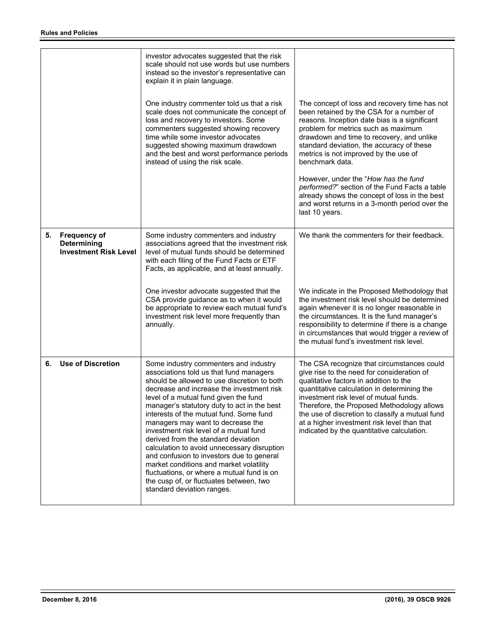|                                                                           | investor advocates suggested that the risk<br>scale should not use words but use numbers<br>instead so the investor's representative can<br>explain it in plain language.                                                                                                                                                                                                                                                                                                                                                                                                                                                                                                                           |                                                                                                                                                                                                                                                                                                                                                                                                                           |
|---------------------------------------------------------------------------|-----------------------------------------------------------------------------------------------------------------------------------------------------------------------------------------------------------------------------------------------------------------------------------------------------------------------------------------------------------------------------------------------------------------------------------------------------------------------------------------------------------------------------------------------------------------------------------------------------------------------------------------------------------------------------------------------------|---------------------------------------------------------------------------------------------------------------------------------------------------------------------------------------------------------------------------------------------------------------------------------------------------------------------------------------------------------------------------------------------------------------------------|
|                                                                           | One industry commenter told us that a risk<br>scale does not communicate the concept of<br>loss and recovery to investors. Some<br>commenters suggested showing recovery<br>time while some investor advocates<br>suggested showing maximum drawdown<br>and the best and worst performance periods<br>instead of using the risk scale.                                                                                                                                                                                                                                                                                                                                                              | The concept of loss and recovery time has not<br>been retained by the CSA for a number of<br>reasons. Inception date bias is a significant<br>problem for metrics such as maximum<br>drawdown and time to recovery, and unlike<br>standard deviation, the accuracy of these<br>metrics is not improved by the use of<br>benchmark data.                                                                                   |
|                                                                           |                                                                                                                                                                                                                                                                                                                                                                                                                                                                                                                                                                                                                                                                                                     | However, under the "How has the fund<br>performed?" section of the Fund Facts a table<br>already shows the concept of loss in the best<br>and worst returns in a 3-month period over the<br>last 10 years.                                                                                                                                                                                                                |
| <b>Frequency of</b><br><b>Determining</b><br><b>Investment Risk Level</b> | Some industry commenters and industry<br>associations agreed that the investment risk<br>level of mutual funds should be determined<br>with each filing of the Fund Facts or ETF<br>Facts, as applicable, and at least annually.                                                                                                                                                                                                                                                                                                                                                                                                                                                                    | We thank the commenters for their feedback.                                                                                                                                                                                                                                                                                                                                                                               |
|                                                                           | One investor advocate suggested that the<br>CSA provide guidance as to when it would<br>be appropriate to review each mutual fund's<br>investment risk level more frequently than<br>annually.                                                                                                                                                                                                                                                                                                                                                                                                                                                                                                      | We indicate in the Proposed Methodology that<br>the investment risk level should be determined<br>again whenever it is no longer reasonable in<br>the circumstances. It is the fund manager's<br>responsibility to determine if there is a change<br>in circumstances that would trigger a review of<br>the mutual fund's investment risk level.                                                                          |
| <b>Use of Discretion</b>                                                  | Some industry commenters and industry<br>associations told us that fund managers<br>should be allowed to use discretion to both<br>decrease and increase the investment risk<br>level of a mutual fund given the fund<br>manager's statutory duty to act in the best<br>interests of the mutual fund. Some fund<br>managers may want to decrease the<br>investment risk level of a mutual fund<br>derived from the standard deviation<br>calculation to avoid unnecessary disruption<br>and confusion to investors due to general<br>market conditions and market volatility<br>fluctuations, or where a mutual fund is on<br>the cusp of, or fluctuates between, two<br>standard deviation ranges. | The CSA recognize that circumstances could<br>give rise to the need for consideration of<br>qualitative factors in addition to the<br>quantitative calculation in determining the<br>investment risk level of mutual funds.<br>Therefore, the Proposed Methodology allows<br>the use of discretion to classify a mutual fund<br>at a higher investment risk level than that<br>indicated by the quantitative calculation. |
|                                                                           |                                                                                                                                                                                                                                                                                                                                                                                                                                                                                                                                                                                                                                                                                                     |                                                                                                                                                                                                                                                                                                                                                                                                                           |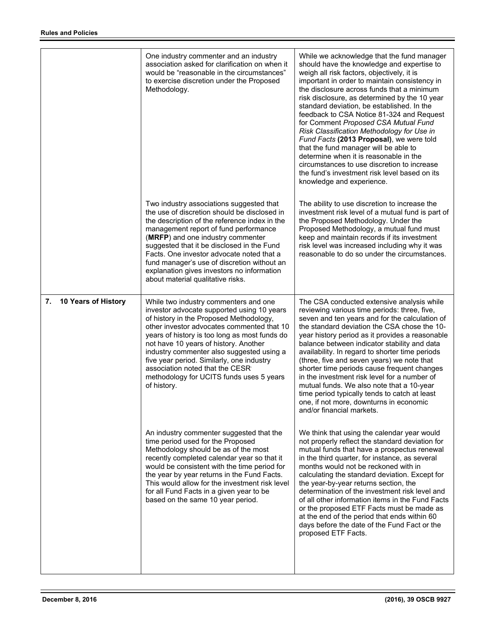|                           | One industry commenter and an industry<br>association asked for clarification on when it<br>would be "reasonable in the circumstances"<br>to exercise discretion under the Proposed<br>Methodology.                                                                                                                                                                                                                                                            | While we acknowledge that the fund manager<br>should have the knowledge and expertise to<br>weigh all risk factors, objectively, it is<br>important in order to maintain consistency in<br>the disclosure across funds that a minimum<br>risk disclosure, as determined by the 10 year<br>standard deviation, be established. In the<br>feedback to CSA Notice 81-324 and Request<br>for Comment Proposed CSA Mutual Fund<br>Risk Classification Methodology for Use in<br>Fund Facts (2013 Proposal), we were told<br>that the fund manager will be able to<br>determine when it is reasonable in the<br>circumstances to use discretion to increase<br>the fund's investment risk level based on its<br>knowledge and experience. |
|---------------------------|----------------------------------------------------------------------------------------------------------------------------------------------------------------------------------------------------------------------------------------------------------------------------------------------------------------------------------------------------------------------------------------------------------------------------------------------------------------|-------------------------------------------------------------------------------------------------------------------------------------------------------------------------------------------------------------------------------------------------------------------------------------------------------------------------------------------------------------------------------------------------------------------------------------------------------------------------------------------------------------------------------------------------------------------------------------------------------------------------------------------------------------------------------------------------------------------------------------|
|                           | Two industry associations suggested that<br>the use of discretion should be disclosed in<br>the description of the reference index in the<br>management report of fund performance<br>(MRFP) and one industry commenter<br>suggested that it be disclosed in the Fund<br>Facts. One investor advocate noted that a<br>fund manager's use of discretion without an<br>explanation gives investors no information<br>about material qualitative risks.           | The ability to use discretion to increase the<br>investment risk level of a mutual fund is part of<br>the Proposed Methodology. Under the<br>Proposed Methodology, a mutual fund must<br>keep and maintain records if its investment<br>risk level was increased including why it was<br>reasonable to do so under the circumstances.                                                                                                                                                                                                                                                                                                                                                                                               |
| 7.<br>10 Years of History | While two industry commenters and one<br>investor advocate supported using 10 years<br>of history in the Proposed Methodology,<br>other investor advocates commented that 10<br>years of history is too long as most funds do<br>not have 10 years of history. Another<br>industry commenter also suggested using a<br>five year period. Similarly, one industry<br>association noted that the CESR<br>methodology for UCITS funds uses 5 years<br>of history. | The CSA conducted extensive analysis while<br>reviewing various time periods: three, five,<br>seven and ten years and for the calculation of<br>the standard deviation the CSA chose the 10-<br>year history period as it provides a reasonable<br>balance between indicator stability and data<br>availability. In regard to shorter time periods<br>(three, five and seven years) we note that<br>shorter time periods cause frequent changes<br>in the investment risk level for a number of<br>mutual funds. We also note that a 10-year<br>time period typically tends to catch at least<br>one, if not more, downturns in economic<br>and/or financial markets.                                                               |
|                           | An industry commenter suggested that the<br>time period used for the Proposed<br>Methodology should be as of the most<br>recently completed calendar year so that it<br>would be consistent with the time period for<br>the year by year returns in the Fund Facts.<br>This would allow for the investment risk level<br>for all Fund Facts in a given year to be<br>based on the same 10 year period.                                                         | We think that using the calendar year would<br>not properly reflect the standard deviation for<br>mutual funds that have a prospectus renewal<br>in the third quarter, for instance, as several<br>months would not be reckoned with in<br>calculating the standard deviation. Except for<br>the year-by-year returns section, the<br>determination of the investment risk level and<br>of all other information items in the Fund Facts<br>or the proposed ETF Facts must be made as<br>at the end of the period that ends within 60<br>days before the date of the Fund Fact or the<br>proposed ETF Facts.                                                                                                                        |
|                           |                                                                                                                                                                                                                                                                                                                                                                                                                                                                |                                                                                                                                                                                                                                                                                                                                                                                                                                                                                                                                                                                                                                                                                                                                     |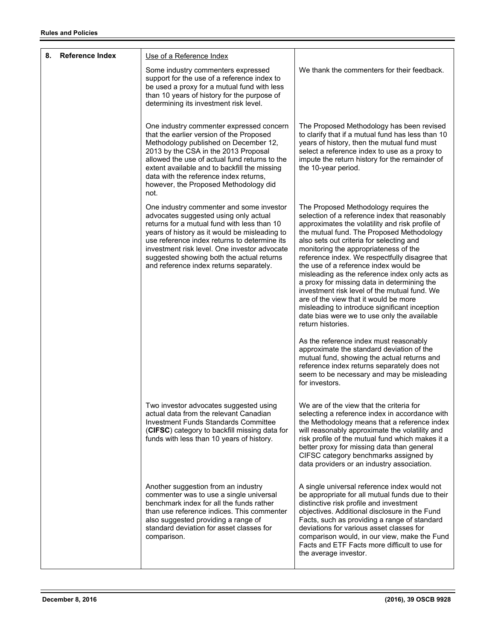| 8. | <b>Reference Index</b> | Use of a Reference Index<br>Some industry commenters expressed<br>support for the use of a reference index to<br>be used a proxy for a mutual fund with less<br>than 10 years of history for the purpose of                                                                                                                                                               | We thank the commenters for their feedback.                                                                                                                                                                                                                                                                                                                                                                                                                                                                                                                                                                                                                                            |
|----|------------------------|---------------------------------------------------------------------------------------------------------------------------------------------------------------------------------------------------------------------------------------------------------------------------------------------------------------------------------------------------------------------------|----------------------------------------------------------------------------------------------------------------------------------------------------------------------------------------------------------------------------------------------------------------------------------------------------------------------------------------------------------------------------------------------------------------------------------------------------------------------------------------------------------------------------------------------------------------------------------------------------------------------------------------------------------------------------------------|
|    |                        | determining its investment risk level.<br>One industry commenter expressed concern<br>that the earlier version of the Proposed<br>Methodology published on December 12,<br>2013 by the CSA in the 2013 Proposal<br>allowed the use of actual fund returns to the                                                                                                          | The Proposed Methodology has been revised<br>to clarify that if a mutual fund has less than 10<br>years of history, then the mutual fund must<br>select a reference index to use as a proxy to<br>impute the return history for the remainder of                                                                                                                                                                                                                                                                                                                                                                                                                                       |
|    |                        | extent available and to backfill the missing<br>data with the reference index returns,<br>however, the Proposed Methodology did<br>not.                                                                                                                                                                                                                                   | the 10-year period.                                                                                                                                                                                                                                                                                                                                                                                                                                                                                                                                                                                                                                                                    |
|    |                        | One industry commenter and some investor<br>advocates suggested using only actual<br>returns for a mutual fund with less than 10<br>years of history as it would be misleading to<br>use reference index returns to determine its<br>investment risk level. One investor advocate<br>suggested showing both the actual returns<br>and reference index returns separately. | The Proposed Methodology requires the<br>selection of a reference index that reasonably<br>approximates the volatility and risk profile of<br>the mutual fund. The Proposed Methodology<br>also sets out criteria for selecting and<br>monitoring the appropriateness of the<br>reference index. We respectfully disagree that<br>the use of a reference index would be<br>misleading as the reference index only acts as<br>a proxy for missing data in determining the<br>investment risk level of the mutual fund. We<br>are of the view that it would be more<br>misleading to introduce significant inception<br>date bias were we to use only the available<br>return histories. |
|    |                        |                                                                                                                                                                                                                                                                                                                                                                           | As the reference index must reasonably<br>approximate the standard deviation of the<br>mutual fund, showing the actual returns and<br>reference index returns separately does not<br>seem to be necessary and may be misleading<br>for investors.                                                                                                                                                                                                                                                                                                                                                                                                                                      |
|    |                        | Two investor advocates suggested using<br>actual data from the relevant Canadian<br><b>Investment Funds Standards Committee</b><br>(CIFSC) category to backfill missing data for<br>funds with less than 10 years of history.                                                                                                                                             | We are of the view that the criteria for<br>selecting a reference index in accordance with<br>the Methodology means that a reference index<br>will reasonably approximate the volatility and<br>risk profile of the mutual fund which makes it a<br>better proxy for missing data than general<br>CIFSC category benchmarks assigned by<br>data providers or an industry association.                                                                                                                                                                                                                                                                                                  |
|    |                        | Another suggestion from an industry<br>commenter was to use a single universal<br>benchmark index for all the funds rather<br>than use reference indices. This commenter<br>also suggested providing a range of<br>standard deviation for asset classes for<br>comparison.                                                                                                | A single universal reference index would not<br>be appropriate for all mutual funds due to their<br>distinctive risk profile and investment<br>objectives. Additional disclosure in the Fund<br>Facts, such as providing a range of standard<br>deviations for various asset classes for<br>comparison would, in our view, make the Fund<br>Facts and ETF Facts more difficult to use for<br>the average investor.                                                                                                                                                                                                                                                                     |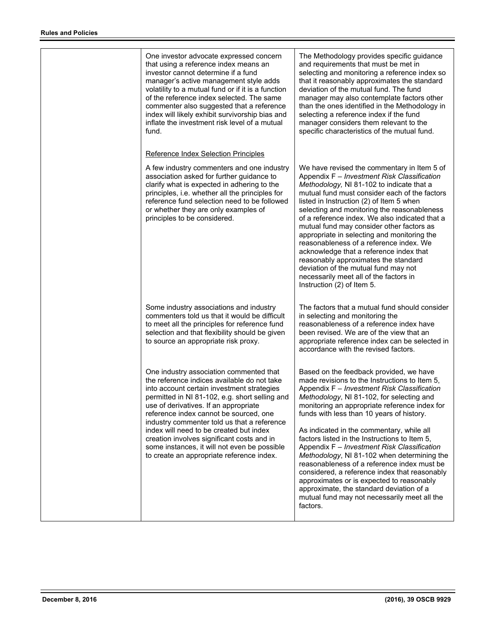| One investor advocate expressed concern<br>that using a reference index means an<br>investor cannot determine if a fund<br>manager's active management style adds<br>volatility to a mutual fund or if it is a function<br>of the reference index selected. The same<br>commenter also suggested that a reference<br>index will likely exhibit survivorship bias and<br>inflate the investment risk level of a mutual<br>fund.                                                                                 | The Methodology provides specific guidance<br>and requirements that must be met in<br>selecting and monitoring a reference index so<br>that it reasonably approximates the standard<br>deviation of the mutual fund. The fund<br>manager may also contemplate factors other<br>than the ones identified in the Methodology in<br>selecting a reference index if the fund<br>manager considers them relevant to the<br>specific characteristics of the mutual fund.                                                                                                                                                                                                                                                                  |
|----------------------------------------------------------------------------------------------------------------------------------------------------------------------------------------------------------------------------------------------------------------------------------------------------------------------------------------------------------------------------------------------------------------------------------------------------------------------------------------------------------------|-------------------------------------------------------------------------------------------------------------------------------------------------------------------------------------------------------------------------------------------------------------------------------------------------------------------------------------------------------------------------------------------------------------------------------------------------------------------------------------------------------------------------------------------------------------------------------------------------------------------------------------------------------------------------------------------------------------------------------------|
| Reference Index Selection Principles                                                                                                                                                                                                                                                                                                                                                                                                                                                                           |                                                                                                                                                                                                                                                                                                                                                                                                                                                                                                                                                                                                                                                                                                                                     |
| A few industry commenters and one industry<br>association asked for further guidance to<br>clarify what is expected in adhering to the<br>principles, i.e. whether all the principles for<br>reference fund selection need to be followed<br>or whether they are only examples of<br>principles to be considered.                                                                                                                                                                                              | We have revised the commentary in Item 5 of<br>Appendix F - Investment Risk Classification<br>Methodology, NI 81-102 to indicate that a<br>mutual fund must consider each of the factors<br>listed in Instruction (2) of Item 5 when<br>selecting and monitoring the reasonableness<br>of a reference index. We also indicated that a<br>mutual fund may consider other factors as<br>appropriate in selecting and monitoring the<br>reasonableness of a reference index. We<br>acknowledge that a reference index that<br>reasonably approximates the standard<br>deviation of the mutual fund may not<br>necessarily meet all of the factors in<br>Instruction (2) of Item 5.                                                     |
| Some industry associations and industry<br>commenters told us that it would be difficult<br>to meet all the principles for reference fund<br>selection and that flexibility should be given<br>to source an appropriate risk proxy.                                                                                                                                                                                                                                                                            | The factors that a mutual fund should consider<br>in selecting and monitoring the<br>reasonableness of a reference index have<br>been revised. We are of the view that an<br>appropriate reference index can be selected in<br>accordance with the revised factors.                                                                                                                                                                                                                                                                                                                                                                                                                                                                 |
| One industry association commented that<br>the reference indices available do not take<br>into account certain investment strategies<br>permitted in NI 81-102, e.g. short selling and<br>use of derivatives. If an appropriate<br>reference index cannot be sourced, one<br>industry commenter told us that a reference<br>index will need to be created but index<br>creation involves significant costs and in<br>some instances, it will not even be possible<br>to create an appropriate reference index. | Based on the feedback provided, we have<br>made revisions to the Instructions to Item 5.<br>Appendix F - Investment Risk Classification<br>Methodology, NI 81-102, for selecting and<br>monitoring an appropriate reference index for<br>funds with less than 10 years of history.<br>As indicated in the commentary, while all<br>factors listed in the Instructions to Item 5.<br>Appendix F - Investment Risk Classification<br>Methodology, NI 81-102 when determining the<br>reasonableness of a reference index must be<br>considered, a reference index that reasonably<br>approximates or is expected to reasonably<br>approximate, the standard deviation of a<br>mutual fund may not necessarily meet all the<br>factors. |
|                                                                                                                                                                                                                                                                                                                                                                                                                                                                                                                |                                                                                                                                                                                                                                                                                                                                                                                                                                                                                                                                                                                                                                                                                                                                     |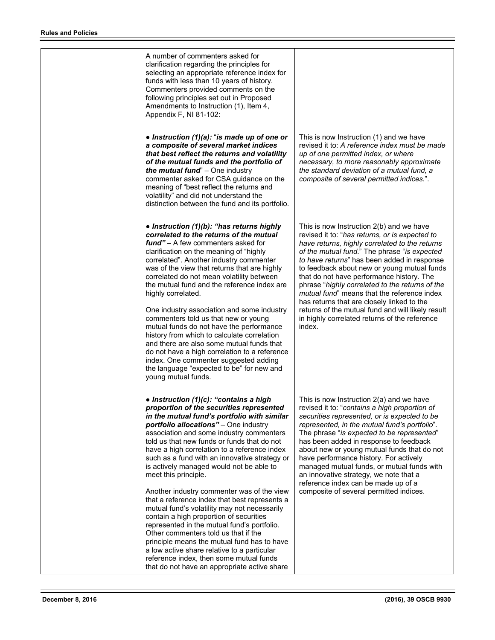A number of commenters asked for clarification regarding the principles for selecting an appropriate reference index for funds with less than 10 years of history. Commenters provided comments on the following principles set out in Proposed Amendments to Instruction (1), Item 4, Appendix F, NI 81-102: *● Instruction (1)(a):* "*is made up of one or a composite of several market indices that best reflect the returns and volatility of the mutual funds and the portfolio of the mutual fund*" – One industry commenter asked for CSA guidance on the meaning of "best reflect the returns and volatility" and did not understand the distinction between the fund and its portfolio. This is now Instruction (1) and we have revised it to: *A reference index must be made up of one permitted index, or where necessary, to more reasonably approximate the standard deviation of a mutual fund, a composite of several permitted indices.*". *● Instruction (1)(b): "has returns highly correlated to the returns of the mutual fund"* – A few commenters asked for clarification on the meaning of "highly correlated". Another industry commenter was of the view that returns that are highly correlated do not mean volatility between the mutual fund and the reference index are highly correlated. One industry association and some industry commenters told us that new or young mutual funds do not have the performance history from which to calculate correlation and there are also some mutual funds that do not have a high correlation to a reference index. One commenter suggested adding the language "expected to be" for new and young mutual funds. This is now Instruction 2(b) and we have revised it to: "*has returns, or is expected to have returns, highly correlated to the returns of the mutual fund*." The phrase "*is expected to have returns*" has been added in response to feedback about new or young mutual funds that do not have performance history. The phrase "*highly correlated to the returns of the mutual fund*" means that the reference index has returns that are closely linked to the returns of the mutual fund and will likely result in highly correlated returns of the reference index. *● Instruction (1)(c): "contains a high proportion of the securities represented in the mutual fund's portfolio with similar portfolio allocations"* – One industry association and some industry commenters told us that new funds or funds that do not have a high correlation to a reference index such as a fund with an innovative strategy or is actively managed would not be able to meet this principle. Another industry commenter was of the view that a reference index that best represents a mutual fund's volatility may not necessarily contain a high proportion of securities represented in the mutual fund's portfolio. Other commenters told us that if the principle means the mutual fund has to have a low active share relative to a particular reference index, then some mutual funds that do not have an appropriate active share This is now Instruction 2(a) and we have revised it to: "*contains a high proportion of securities represented, or is expected to be represented, in the mutual fund's portfolio*". The phrase "*is expected to be represented*" has been added in response to feedback about new or young mutual funds that do not have performance history. For actively managed mutual funds, or mutual funds with an innovative strategy, we note that a reference index can be made up of a composite of several permitted indices.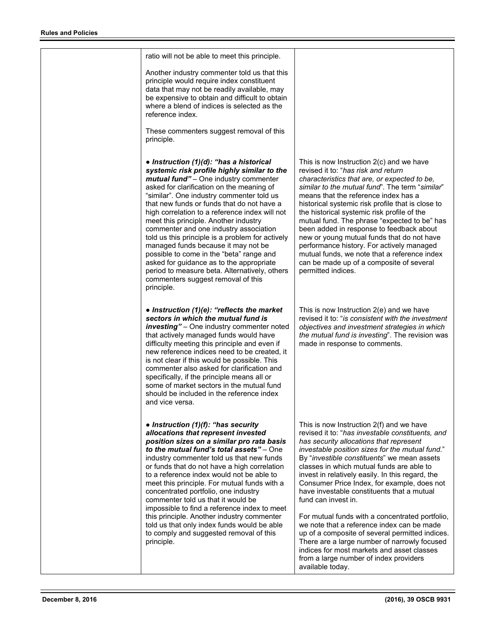ratio will not be able to meet this principle.

Another industry commenter told us that this principle would require index constituent data that may not be readily available, may be expensive to obtain and difficult to obtain where a blend of indices is selected as the reference index.

These commenters suggest removal of this principle.

*● Instruction (1)(d): "has a historical systemic risk profile highly similar to the mutual fund"* – One industry commenter asked for clarification on the meaning of "similar". One industry commenter told us that new funds or funds that do not have a high correlation to a reference index will not meet this principle. Another industry commenter and one industry association told us this principle is a problem for actively managed funds because it may not be possible to come in the "beta" range and asked for guidance as to the appropriate period to measure beta. Alternatively, others commenters suggest removal of this principle.

*● Instruction (1)(e): "reflects the market sectors in which the mutual fund is investing"* – One industry commenter noted that actively managed funds would have difficulty meeting this principle and even if new reference indices need to be created, it is not clear if this would be possible. This commenter also asked for clarification and specifically, if the principle means all or some of market sectors in the mutual fund should be included in the reference index and vice versa.

*● Instruction (1)(f): "has security allocations that represent invested position sizes on a similar pro rata basis to the mutual fund's total assets"* – One industry commenter told us that new funds or funds that do not have a high correlation to a reference index would not be able to meet this principle. For mutual funds with a concentrated portfolio, one industry commenter told us that it would be impossible to find a reference index to meet this principle. Another industry commenter told us that only index funds would be able to comply and suggested removal of this principle.

This is now Instruction 2(c) and we have revised it to: "*has risk and return characteristics that are, or expected to be, similar to the mutual fund*". The term "*similar*" means that the reference index has a historical systemic risk profile that is close to the historical systemic risk profile of the mutual fund. The phrase "expected to be" has been added in response to feedback about new or young mutual funds that do not have performance history. For actively managed mutual funds, we note that a reference index can be made up of a composite of several permitted indices.

This is now Instruction 2(e) and we have revised it to: "*is consistent with the investment objectives and investment strategies in which the mutual fund is investing*". The revision was made in response to comments.

This is now Instruction 2(f) and we have revised it to: "*has investable constituents, and has security allocations that represent investable position sizes for the mutual fund*." By "*investible constituents*" we mean assets classes in which mutual funds are able to invest in relatively easily. In this regard, the Consumer Price Index, for example, does not have investable constituents that a mutual fund can invest in.

For mutual funds with a concentrated portfolio, we note that a reference index can be made up of a composite of several permitted indices. There are a large number of narrowly focused indices for most markets and asset classes from a large number of index providers available today.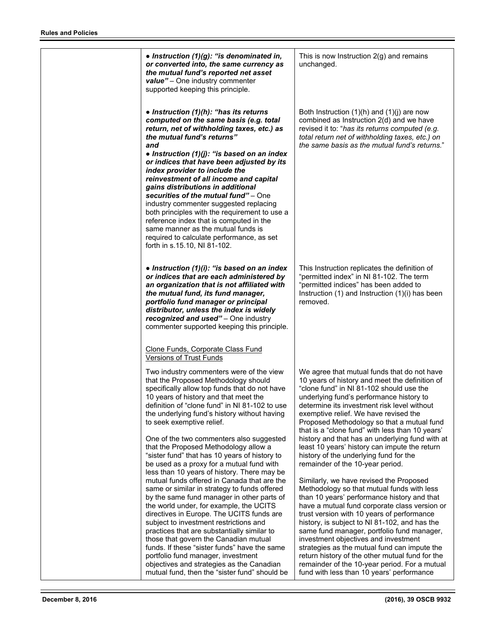| • Instruction $(1)(g)$ : "is denominated in,<br>or converted into, the same currency as<br>the mutual fund's reported net asset<br>value" - One industry commenter<br>supported keeping this principle.                                                                                                                                                                                                                                                                                                                                                                                                                                                                                                                                                                                                                                                                                                                                                                                                                                               | This is now Instruction $2(g)$ and remains<br>unchanged.                                                                                                                                                                                                                                                                                                                                                                                                                                                                                                                                                                                                                                                                                                                                                                                                                                                                                                                                                                                                                                           |
|-------------------------------------------------------------------------------------------------------------------------------------------------------------------------------------------------------------------------------------------------------------------------------------------------------------------------------------------------------------------------------------------------------------------------------------------------------------------------------------------------------------------------------------------------------------------------------------------------------------------------------------------------------------------------------------------------------------------------------------------------------------------------------------------------------------------------------------------------------------------------------------------------------------------------------------------------------------------------------------------------------------------------------------------------------|----------------------------------------------------------------------------------------------------------------------------------------------------------------------------------------------------------------------------------------------------------------------------------------------------------------------------------------------------------------------------------------------------------------------------------------------------------------------------------------------------------------------------------------------------------------------------------------------------------------------------------------------------------------------------------------------------------------------------------------------------------------------------------------------------------------------------------------------------------------------------------------------------------------------------------------------------------------------------------------------------------------------------------------------------------------------------------------------------|
| • Instruction $(1)(h)$ : "has its returns<br>computed on the same basis (e.g. total<br>return, net of withholding taxes, etc.) as<br>the mutual fund's returns"<br>and<br>• Instruction $(1)(j)$ : "is based on an index<br>or indices that have been adjusted by its<br>index provider to include the<br>reinvestment of all income and capital<br>gains distributions in additional<br>securities of the mutual fund" - One<br>industry commenter suggested replacing<br>both principles with the requirement to use a<br>reference index that is computed in the<br>same manner as the mutual funds is<br>required to calculate performance, as set<br>forth in s.15.10, NI 81-102.                                                                                                                                                                                                                                                                                                                                                                | Both Instruction $(1)(h)$ and $(1)(j)$ are now<br>combined as Instruction 2(d) and we have<br>revised it to: "has its returns computed (e.g.<br>total return net of withholding taxes, etc.) on<br>the same basis as the mutual fund's returns."                                                                                                                                                                                                                                                                                                                                                                                                                                                                                                                                                                                                                                                                                                                                                                                                                                                   |
| • Instruction $(1)(i)$ : "is based on an index<br>or indices that are each administered by<br>an organization that is not affiliated with<br>the mutual fund, its fund manager,<br>portfolio fund manager or principal<br>distributor, unless the index is widely<br>recognized and used" - One industry<br>commenter supported keeping this principle.<br>Clone Funds, Corporate Class Fund<br><b>Versions of Trust Funds</b>                                                                                                                                                                                                                                                                                                                                                                                                                                                                                                                                                                                                                        | This Instruction replicates the definition of<br>"permitted index" in NI 81-102. The term<br>"permitted indices" has been added to<br>Instruction $(1)$ and Instruction $(1)(i)$ has been<br>removed.                                                                                                                                                                                                                                                                                                                                                                                                                                                                                                                                                                                                                                                                                                                                                                                                                                                                                              |
| Two industry commenters were of the view<br>that the Proposed Methodology should<br>specifically allow top funds that do not have<br>10 years of history and that meet the<br>definition of "clone fund" in NI 81-102 to use<br>the underlying fund's history without having<br>to seek exemptive relief.<br>One of the two commenters also suggested<br>that the Proposed Methodology allow a<br>"sister fund" that has 10 years of history to<br>be used as a proxy for a mutual fund with<br>less than 10 years of history. There may be<br>mutual funds offered in Canada that are the<br>same or similar in strategy to funds offered<br>by the same fund manager in other parts of<br>the world under, for example, the UCITS<br>directives in Europe. The UCITS funds are<br>subject to investment restrictions and<br>practices that are substantially similar to<br>those that govern the Canadian mutual<br>funds. If these "sister funds" have the same<br>portfolio fund manager, investment<br>objectives and strategies as the Canadian | We agree that mutual funds that do not have<br>10 years of history and meet the definition of<br>"clone fund" in NI 81-102 should use the<br>underlying fund's performance history to<br>determine its investment risk level without<br>exemptive relief. We have revised the<br>Proposed Methodology so that a mutual fund<br>that is a "clone fund" with less than 10 years'<br>history and that has an underlying fund with at<br>least 10 years' history can impute the return<br>history of the underlying fund for the<br>remainder of the 10-year period.<br>Similarly, we have revised the Proposed<br>Methodology so that mutual funds with less<br>than 10 years' performance history and that<br>have a mutual fund corporate class version or<br>trust version with 10 years of performance<br>history, is subject to NI 81-102, and has the<br>same fund manager, portfolio fund manager,<br>investment objectives and investment<br>strategies as the mutual fund can impute the<br>return history of the other mutual fund for the<br>remainder of the 10-year period. For a mutual |
| mutual fund, then the "sister fund" should be                                                                                                                                                                                                                                                                                                                                                                                                                                                                                                                                                                                                                                                                                                                                                                                                                                                                                                                                                                                                         | fund with less than 10 years' performance                                                                                                                                                                                                                                                                                                                                                                                                                                                                                                                                                                                                                                                                                                                                                                                                                                                                                                                                                                                                                                                          |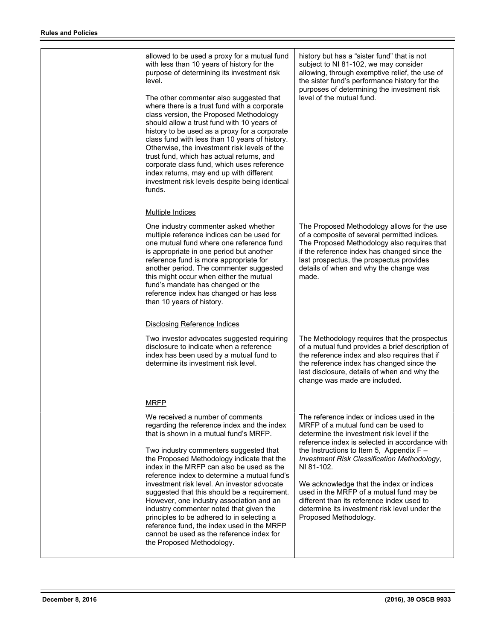| allowed to be used a proxy for a mutual fund<br>with less than 10 years of history for the<br>purpose of determining its investment risk<br>level.<br>The other commenter also suggested that<br>where there is a trust fund with a corporate<br>class version, the Proposed Methodology<br>should allow a trust fund with 10 years of<br>history to be used as a proxy for a corporate<br>class fund with less than 10 years of history.<br>Otherwise, the investment risk levels of the<br>trust fund, which has actual returns, and<br>corporate class fund, which uses reference<br>index returns, may end up with different<br>investment risk levels despite being identical<br>funds. | history but has a "sister fund" that is not<br>subject to NI 81-102, we may consider<br>allowing, through exemptive relief, the use of<br>the sister fund's performance history for the<br>purposes of determining the investment risk<br>level of the mutual fund.                                                                                                                                                                                                                                           |
|----------------------------------------------------------------------------------------------------------------------------------------------------------------------------------------------------------------------------------------------------------------------------------------------------------------------------------------------------------------------------------------------------------------------------------------------------------------------------------------------------------------------------------------------------------------------------------------------------------------------------------------------------------------------------------------------|---------------------------------------------------------------------------------------------------------------------------------------------------------------------------------------------------------------------------------------------------------------------------------------------------------------------------------------------------------------------------------------------------------------------------------------------------------------------------------------------------------------|
| <b>Multiple Indices</b>                                                                                                                                                                                                                                                                                                                                                                                                                                                                                                                                                                                                                                                                      |                                                                                                                                                                                                                                                                                                                                                                                                                                                                                                               |
| One industry commenter asked whether<br>multiple reference indices can be used for<br>one mutual fund where one reference fund<br>is appropriate in one period but another<br>reference fund is more appropriate for<br>another period. The commenter suggested<br>this might occur when either the mutual<br>fund's mandate has changed or the<br>reference index has changed or has less<br>than 10 years of history.                                                                                                                                                                                                                                                                      | The Proposed Methodology allows for the use<br>of a composite of several permitted indices.<br>The Proposed Methodology also requires that<br>if the reference index has changed since the<br>last prospectus, the prospectus provides<br>details of when and why the change was<br>made.                                                                                                                                                                                                                     |
| <b>Disclosing Reference Indices</b>                                                                                                                                                                                                                                                                                                                                                                                                                                                                                                                                                                                                                                                          |                                                                                                                                                                                                                                                                                                                                                                                                                                                                                                               |
| Two investor advocates suggested requiring<br>disclosure to indicate when a reference<br>index has been used by a mutual fund to<br>determine its investment risk level.                                                                                                                                                                                                                                                                                                                                                                                                                                                                                                                     | The Methodology requires that the prospectus<br>of a mutual fund provides a brief description of<br>the reference index and also requires that if<br>the reference index has changed since the<br>last disclosure, details of when and why the<br>change was made are included.                                                                                                                                                                                                                               |
| <b>MRFP</b>                                                                                                                                                                                                                                                                                                                                                                                                                                                                                                                                                                                                                                                                                  |                                                                                                                                                                                                                                                                                                                                                                                                                                                                                                               |
| We received a number of comments<br>regarding the reference index and the index<br>that is shown in a mutual fund's MRFP.<br>Two industry commenters suggested that<br>the Proposed Methodology indicate that the<br>index in the MRFP can also be used as the<br>reference index to determine a mutual fund's<br>investment risk level. An investor advocate<br>suggested that this should be a requirement.<br>However, one industry association and an<br>industry commenter noted that given the<br>principles to be adhered to in selecting a<br>reference fund, the index used in the MRFP<br>cannot be used as the reference index for<br>the Proposed Methodology.                   | The reference index or indices used in the<br>MRFP of a mutual fund can be used to<br>determine the investment risk level if the<br>reference index is selected in accordance with<br>the Instructions to Item 5, Appendix $F -$<br>Investment Risk Classification Methodology,<br>NI 81-102.<br>We acknowledge that the index or indices<br>used in the MRFP of a mutual fund may be<br>different than its reference index used to<br>determine its investment risk level under the<br>Proposed Methodology. |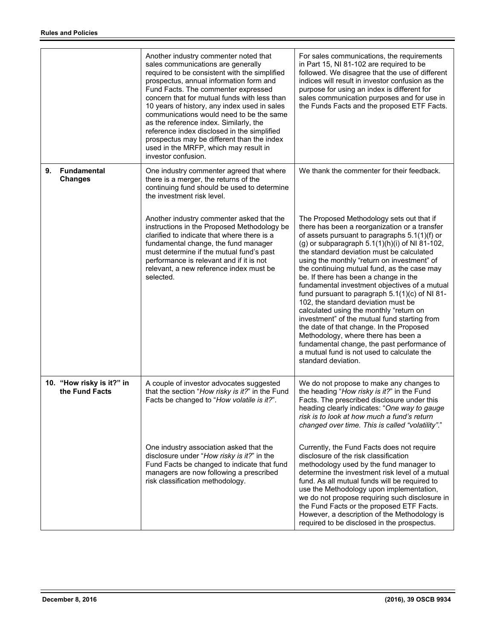|    |                                             | Another industry commenter noted that<br>sales communications are generally<br>required to be consistent with the simplified<br>prospectus, annual information form and<br>Fund Facts. The commenter expressed<br>concern that for mutual funds with less than<br>10 years of history, any index used in sales<br>communications would need to be the same<br>as the reference index. Similarly, the<br>reference index disclosed in the simplified<br>prospectus may be different than the index<br>used in the MRFP, which may result in<br>investor confusion. | For sales communications, the requirements<br>in Part 15, NI 81-102 are required to be<br>followed. We disagree that the use of different<br>indices will result in investor confusion as the<br>purpose for using an index is different for<br>sales communication purposes and for use in<br>the Funds Facts and the proposed ETF Facts.                                                                                                                                                                                                                                                                                                                                                                                                                                                                                        |
|----|---------------------------------------------|-------------------------------------------------------------------------------------------------------------------------------------------------------------------------------------------------------------------------------------------------------------------------------------------------------------------------------------------------------------------------------------------------------------------------------------------------------------------------------------------------------------------------------------------------------------------|-----------------------------------------------------------------------------------------------------------------------------------------------------------------------------------------------------------------------------------------------------------------------------------------------------------------------------------------------------------------------------------------------------------------------------------------------------------------------------------------------------------------------------------------------------------------------------------------------------------------------------------------------------------------------------------------------------------------------------------------------------------------------------------------------------------------------------------|
| 9. | Fundamental<br><b>Changes</b>               | One industry commenter agreed that where<br>there is a merger, the returns of the<br>continuing fund should be used to determine<br>the investment risk level.                                                                                                                                                                                                                                                                                                                                                                                                    | We thank the commenter for their feedback.                                                                                                                                                                                                                                                                                                                                                                                                                                                                                                                                                                                                                                                                                                                                                                                        |
|    |                                             | Another industry commenter asked that the<br>instructions in the Proposed Methodology be<br>clarified to indicate that where there is a<br>fundamental change, the fund manager<br>must determine if the mutual fund's past<br>performance is relevant and if it is not<br>relevant, a new reference index must be<br>selected.                                                                                                                                                                                                                                   | The Proposed Methodology sets out that if<br>there has been a reorganization or a transfer<br>of assets pursuant to paragraphs 5.1(1)(f) or<br>(g) or subparagraph $5.1(1)(h)(i)$ of NI 81-102,<br>the standard deviation must be calculated<br>using the monthly "return on investment" of<br>the continuing mutual fund, as the case may<br>be. If there has been a change in the<br>fundamental investment objectives of a mutual<br>fund pursuant to paragraph $5.1(1)(c)$ of NI 81-<br>102, the standard deviation must be<br>calculated using the monthly "return on<br>investment" of the mutual fund starting from<br>the date of that change. In the Proposed<br>Methodology, where there has been a<br>fundamental change, the past performance of<br>a mutual fund is not used to calculate the<br>standard deviation. |
|    | 10. "How risky is it?" in<br>the Fund Facts | A couple of investor advocates suggested<br>that the section "How risky is it?" in the Fund<br>Facts be changed to "How volatile is it?".                                                                                                                                                                                                                                                                                                                                                                                                                         | We do not propose to make any changes to<br>the heading "How risky is it?" in the Fund<br>Facts. The prescribed disclosure under this<br>heading clearly indicates: "One way to gauge<br>risk is to look at how much a fund's return<br>changed over time. This is called "volatility"."                                                                                                                                                                                                                                                                                                                                                                                                                                                                                                                                          |
|    |                                             | One industry association asked that the<br>disclosure under "How risky is it?" in the<br>Fund Facts be changed to indicate that fund<br>managers are now following a prescribed<br>risk classification methodology.                                                                                                                                                                                                                                                                                                                                               | Currently, the Fund Facts does not require<br>disclosure of the risk classification<br>methodology used by the fund manager to<br>determine the investment risk level of a mutual<br>fund. As all mutual funds will be required to<br>use the Methodology upon implementation,<br>we do not propose requiring such disclosure in<br>the Fund Facts or the proposed ETF Facts.<br>However, a description of the Methodology is<br>required to be disclosed in the prospectus.                                                                                                                                                                                                                                                                                                                                                      |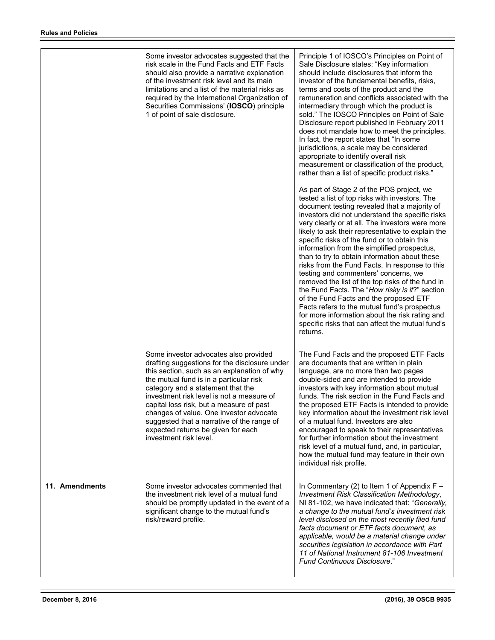|                | Some investor advocates suggested that the<br>risk scale in the Fund Facts and ETF Facts<br>should also provide a narrative explanation<br>of the investment risk level and its main<br>limitations and a list of the material risks as<br>required by the International Organization of<br>Securities Commissions' (IOSCO) principle<br>1 of point of sale disclosure.                                                                                                 | Principle 1 of IOSCO's Principles on Point of<br>Sale Disclosure states: "Key information<br>should include disclosures that inform the<br>investor of the fundamental benefits, risks,<br>terms and costs of the product and the<br>remuneration and conflicts associated with the<br>intermediary through which the product is<br>sold." The IOSCO Principles on Point of Sale<br>Disclosure report published in February 2011<br>does not mandate how to meet the principles.<br>In fact, the report states that "In some<br>jurisdictions, a scale may be considered<br>appropriate to identify overall risk<br>measurement or classification of the product,<br>rather than a list of specific product risks."<br>As part of Stage 2 of the POS project, we<br>tested a list of top risks with investors. The<br>document testing revealed that a majority of<br>investors did not understand the specific risks<br>very clearly or at all. The investors were more<br>likely to ask their representative to explain the<br>specific risks of the fund or to obtain this<br>information from the simplified prospectus,<br>than to try to obtain information about these<br>risks from the Fund Facts. In response to this<br>testing and commenters' concerns, we<br>removed the list of the top risks of the fund in<br>the Fund Facts. The "How risky is it?" section<br>of the Fund Facts and the proposed ETF<br>Facts refers to the mutual fund's prospectus<br>for more information about the risk rating and<br>specific risks that can affect the mutual fund's<br>returns. |
|----------------|-------------------------------------------------------------------------------------------------------------------------------------------------------------------------------------------------------------------------------------------------------------------------------------------------------------------------------------------------------------------------------------------------------------------------------------------------------------------------|-------------------------------------------------------------------------------------------------------------------------------------------------------------------------------------------------------------------------------------------------------------------------------------------------------------------------------------------------------------------------------------------------------------------------------------------------------------------------------------------------------------------------------------------------------------------------------------------------------------------------------------------------------------------------------------------------------------------------------------------------------------------------------------------------------------------------------------------------------------------------------------------------------------------------------------------------------------------------------------------------------------------------------------------------------------------------------------------------------------------------------------------------------------------------------------------------------------------------------------------------------------------------------------------------------------------------------------------------------------------------------------------------------------------------------------------------------------------------------------------------------------------------------------------------------------------------------------------|
|                | Some investor advocates also provided<br>drafting suggestions for the disclosure under<br>this section, such as an explanation of why<br>the mutual fund is in a particular risk<br>category and a statement that the<br>investment risk level is not a measure of<br>capital loss risk, but a measure of past<br>changes of value. One investor advocate<br>suggested that a narrative of the range of<br>expected returns be given for each<br>investment risk level. | The Fund Facts and the proposed ETF Facts<br>are documents that are written in plain<br>language, are no more than two pages<br>double-sided and are intended to provide<br>investors with key information about mutual<br>funds. The risk section in the Fund Facts and<br>the proposed ETF Facts is intended to provide<br>key information about the investment risk level<br>of a mutual fund. Investors are also<br>encouraged to speak to their representatives<br>for further information about the investment<br>risk level of a mutual fund, and, in particular,<br>how the mutual fund may feature in their own<br>individual risk profile.                                                                                                                                                                                                                                                                                                                                                                                                                                                                                                                                                                                                                                                                                                                                                                                                                                                                                                                                      |
| 11. Amendments | Some investor advocates commented that<br>the investment risk level of a mutual fund<br>should be promptly updated in the event of a<br>significant change to the mutual fund's<br>risk/reward profile.                                                                                                                                                                                                                                                                 | In Commentary (2) to Item 1 of Appendix $F -$<br>Investment Risk Classification Methodology,<br>NI 81-102, we have indicated that: "Generally,<br>a change to the mutual fund's investment risk<br>level disclosed on the most recently filed fund<br>facts document or ETF facts document, as<br>applicable, would be a material change under<br>securities legislation in accordance with Part<br>11 of National Instrument 81-106 Investment<br><b>Fund Continuous Disclosure."</b>                                                                                                                                                                                                                                                                                                                                                                                                                                                                                                                                                                                                                                                                                                                                                                                                                                                                                                                                                                                                                                                                                                    |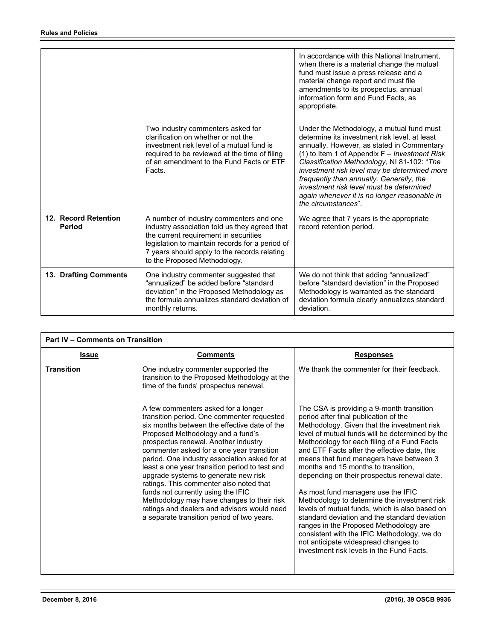|                                       | Two industry commenters asked for<br>clarification on whether or not the<br>investment risk level of a mutual fund is<br>required to be reviewed at the time of filing<br>of an amendment to the Fund Facts or ETF<br>Facts.                                         | In accordance with this National Instrument.<br>when there is a material change the mutual<br>fund must issue a press release and a<br>material change report and must file<br>amendments to its prospectus, annual<br>information form and Fund Facts, as<br>appropriate.<br>Under the Methodology, a mutual fund must<br>determine its investment risk level, at least<br>annually. However, as stated in Commentary<br>(1) to Item 1 of Appendix $F$ – Investment Risk<br>Classification Methodology, NI 81-102: "The<br>investment risk level may be determined more<br>frequently than annually. Generally, the<br>investment risk level must be determined<br>again whenever it is no longer reasonable in<br>the circumstances" |
|---------------------------------------|----------------------------------------------------------------------------------------------------------------------------------------------------------------------------------------------------------------------------------------------------------------------|----------------------------------------------------------------------------------------------------------------------------------------------------------------------------------------------------------------------------------------------------------------------------------------------------------------------------------------------------------------------------------------------------------------------------------------------------------------------------------------------------------------------------------------------------------------------------------------------------------------------------------------------------------------------------------------------------------------------------------------|
| 12. Record Retention<br><b>Period</b> | A number of industry commenters and one<br>industry association told us they agreed that<br>the current requirement in securities<br>legislation to maintain records for a period of<br>7 years should apply to the records relating<br>to the Proposed Methodology. | We agree that 7 years is the appropriate<br>record retention period.                                                                                                                                                                                                                                                                                                                                                                                                                                                                                                                                                                                                                                                                   |
| 13. Drafting Comments                 | One industry commenter suggested that<br>"annualized" be added before "standard<br>deviation" in the Proposed Methodology as<br>the formula annualizes standard deviation of<br>monthly returns.                                                                     | We do not think that adding "annualized"<br>before "standard deviation" in the Proposed<br>Methodology is warranted as the standard<br>deviation formula clearly annualizes standard<br>deviation.                                                                                                                                                                                                                                                                                                                                                                                                                                                                                                                                     |

| <b>Part IV - Comments on Transition</b> |                                                                                                                                                                                                                                                                                                                                                                                                                                                                                                                                                                                                                                    |                                                                                                                                                                                                                                                                                                                                                                                                                                                                                                                                                                                                                                                                                                                                                                                             |
|-----------------------------------------|------------------------------------------------------------------------------------------------------------------------------------------------------------------------------------------------------------------------------------------------------------------------------------------------------------------------------------------------------------------------------------------------------------------------------------------------------------------------------------------------------------------------------------------------------------------------------------------------------------------------------------|---------------------------------------------------------------------------------------------------------------------------------------------------------------------------------------------------------------------------------------------------------------------------------------------------------------------------------------------------------------------------------------------------------------------------------------------------------------------------------------------------------------------------------------------------------------------------------------------------------------------------------------------------------------------------------------------------------------------------------------------------------------------------------------------|
| <b>Issue</b>                            | <b>Comments</b>                                                                                                                                                                                                                                                                                                                                                                                                                                                                                                                                                                                                                    | <b>Responses</b>                                                                                                                                                                                                                                                                                                                                                                                                                                                                                                                                                                                                                                                                                                                                                                            |
| <b>Transition</b>                       | One industry commenter supported the<br>transition to the Proposed Methodology at the<br>time of the funds' prospectus renewal.                                                                                                                                                                                                                                                                                                                                                                                                                                                                                                    | We thank the commenter for their feedback.                                                                                                                                                                                                                                                                                                                                                                                                                                                                                                                                                                                                                                                                                                                                                  |
|                                         | A few commenters asked for a longer<br>transition period. One commenter requested<br>six months between the effective date of the<br>Proposed Methodology and a fund's<br>prospectus renewal. Another industry<br>commenter asked for a one year transition<br>period. One industry association asked for at<br>least a one year transition period to test and<br>upgrade systems to generate new risk<br>ratings. This commenter also noted that<br>funds not currently using the IFIC<br>Methodology may have changes to their risk<br>ratings and dealers and advisors would need<br>a separate transition period of two years. | The CSA is providing a 9-month transition<br>period after final publication of the<br>Methodology. Given that the investment risk<br>level of mutual funds will be determined by the<br>Methodology for each filing of a Fund Facts<br>and ETF Facts after the effective date, this<br>means that fund managers have between 3<br>months and 15 months to transition,<br>depending on their prospectus renewal date.<br>As most fund managers use the IFIC<br>Methodology to determine the investment risk<br>levels of mutual funds, which is also based on<br>standard deviation and the standard deviation<br>ranges in the Proposed Methodology are<br>consistent with the IFIC Methodology, we do<br>not anticipate widespread changes to<br>investment risk levels in the Fund Facts. |

j.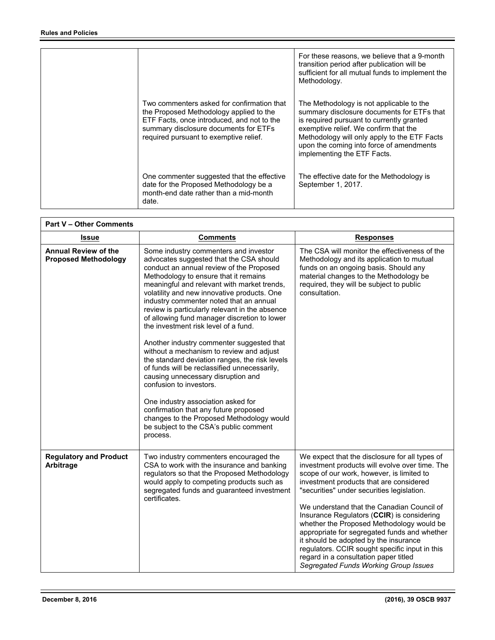|                                                                                                                                                                                                                        | For these reasons, we believe that a 9-month<br>transition period after publication will be<br>sufficient for all mutual funds to implement the<br>Methodology.                                                                                                                                         |
|------------------------------------------------------------------------------------------------------------------------------------------------------------------------------------------------------------------------|---------------------------------------------------------------------------------------------------------------------------------------------------------------------------------------------------------------------------------------------------------------------------------------------------------|
| Two commenters asked for confirmation that<br>the Proposed Methodology applied to the<br>ETF Facts, once introduced, and not to the<br>summary disclosure documents for ETFs<br>required pursuant to exemptive relief. | The Methodology is not applicable to the<br>summary disclosure documents for ETFs that<br>is required pursuant to currently granted<br>exemptive relief. We confirm that the<br>Methodology will only apply to the ETF Facts<br>upon the coming into force of amendments<br>implementing the ETF Facts. |
| One commenter suggested that the effective<br>date for the Proposed Methodology be a<br>month-end date rather than a mid-month<br>date.                                                                                | The effective date for the Methodology is<br>September 1, 2017.                                                                                                                                                                                                                                         |

| <b>Part V - Other Comments</b>                             |                                                                                                                                                                                                                                                                                                                                                                                                                                                                                                                                                                                                                                                                                                                                                                                                                                                                                            |                                                                                                                                                                                                                                                                                                                                                                                                                                                                                                                                                                                                              |
|------------------------------------------------------------|--------------------------------------------------------------------------------------------------------------------------------------------------------------------------------------------------------------------------------------------------------------------------------------------------------------------------------------------------------------------------------------------------------------------------------------------------------------------------------------------------------------------------------------------------------------------------------------------------------------------------------------------------------------------------------------------------------------------------------------------------------------------------------------------------------------------------------------------------------------------------------------------|--------------------------------------------------------------------------------------------------------------------------------------------------------------------------------------------------------------------------------------------------------------------------------------------------------------------------------------------------------------------------------------------------------------------------------------------------------------------------------------------------------------------------------------------------------------------------------------------------------------|
| <b>Issue</b>                                               | <b>Comments</b>                                                                                                                                                                                                                                                                                                                                                                                                                                                                                                                                                                                                                                                                                                                                                                                                                                                                            | <b>Responses</b>                                                                                                                                                                                                                                                                                                                                                                                                                                                                                                                                                                                             |
| <b>Annual Review of the</b><br><b>Proposed Methodology</b> | Some industry commenters and investor<br>advocates suggested that the CSA should<br>conduct an annual review of the Proposed<br>Methodology to ensure that it remains<br>meaningful and relevant with market trends,<br>volatility and new innovative products. One<br>industry commenter noted that an annual<br>review is particularly relevant in the absence<br>of allowing fund manager discretion to lower<br>the investment risk level of a fund.<br>Another industry commenter suggested that<br>without a mechanism to review and adjust<br>the standard deviation ranges, the risk levels<br>of funds will be reclassified unnecessarily,<br>causing unnecessary disruption and<br>confusion to investors.<br>One industry association asked for<br>confirmation that any future proposed<br>changes to the Proposed Methodology would<br>be subject to the CSA's public comment | The CSA will monitor the effectiveness of the<br>Methodology and its application to mutual<br>funds on an ongoing basis. Should any<br>material changes to the Methodology be<br>required, they will be subject to public<br>consultation.                                                                                                                                                                                                                                                                                                                                                                   |
|                                                            | process.                                                                                                                                                                                                                                                                                                                                                                                                                                                                                                                                                                                                                                                                                                                                                                                                                                                                                   |                                                                                                                                                                                                                                                                                                                                                                                                                                                                                                                                                                                                              |
| <b>Regulatory and Product</b><br>Arbitrage                 | Two industry commenters encouraged the<br>CSA to work with the insurance and banking<br>regulators so that the Proposed Methodology<br>would apply to competing products such as<br>segregated funds and guaranteed investment<br>certificates.                                                                                                                                                                                                                                                                                                                                                                                                                                                                                                                                                                                                                                            | We expect that the disclosure for all types of<br>investment products will evolve over time. The<br>scope of our work, however, is limited to<br>investment products that are considered<br>"securities" under securities legislation.<br>We understand that the Canadian Council of<br>Insurance Regulators (CCIR) is considering<br>whether the Proposed Methodology would be<br>appropriate for segregated funds and whether<br>it should be adopted by the insurance<br>regulators. CCIR sought specific input in this<br>regard in a consultation paper titled<br>Segregated Funds Working Group Issues |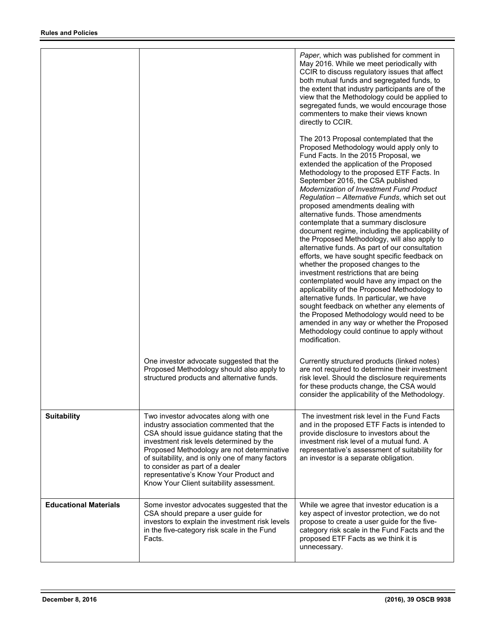|                              |                                                                                                                                                                                                                                                                                                                                                                                                      | Paper, which was published for comment in<br>May 2016. While we meet periodically with<br>CCIR to discuss regulatory issues that affect<br>both mutual funds and segregated funds, to<br>the extent that industry participants are of the<br>view that the Methodology could be applied to<br>segregated funds, we would encourage those<br>commenters to make their views known<br>directly to CCIR.<br>The 2013 Proposal contemplated that the<br>Proposed Methodology would apply only to<br>Fund Facts. In the 2015 Proposal, we<br>extended the application of the Proposed<br>Methodology to the proposed ETF Facts. In<br>September 2016, the CSA published<br><b>Modernization of Investment Fund Product</b><br>Regulation - Alternative Funds, which set out<br>proposed amendments dealing with<br>alternative funds. Those amendments<br>contemplate that a summary disclosure<br>document regime, including the applicability of<br>the Proposed Methodology, will also apply to<br>alternative funds. As part of our consultation<br>efforts, we have sought specific feedback on<br>whether the proposed changes to the<br>investment restrictions that are being<br>contemplated would have any impact on the<br>applicability of the Proposed Methodology to<br>alternative funds. In particular, we have<br>sought feedback on whether any elements of<br>the Proposed Methodology would need to be<br>amended in any way or whether the Proposed<br>Methodology could continue to apply without<br>modification. |
|------------------------------|------------------------------------------------------------------------------------------------------------------------------------------------------------------------------------------------------------------------------------------------------------------------------------------------------------------------------------------------------------------------------------------------------|-------------------------------------------------------------------------------------------------------------------------------------------------------------------------------------------------------------------------------------------------------------------------------------------------------------------------------------------------------------------------------------------------------------------------------------------------------------------------------------------------------------------------------------------------------------------------------------------------------------------------------------------------------------------------------------------------------------------------------------------------------------------------------------------------------------------------------------------------------------------------------------------------------------------------------------------------------------------------------------------------------------------------------------------------------------------------------------------------------------------------------------------------------------------------------------------------------------------------------------------------------------------------------------------------------------------------------------------------------------------------------------------------------------------------------------------------------------------------------------------------------------------------------------|
|                              | One investor advocate suggested that the<br>Proposed Methodology should also apply to<br>structured products and alternative funds.                                                                                                                                                                                                                                                                  | Currently structured products (linked notes)<br>are not required to determine their investment<br>risk level. Should the disclosure requirements<br>for these products change, the CSA would<br>consider the applicability of the Methodology.                                                                                                                                                                                                                                                                                                                                                                                                                                                                                                                                                                                                                                                                                                                                                                                                                                                                                                                                                                                                                                                                                                                                                                                                                                                                                      |
| <b>Suitability</b>           | Two investor advocates along with one<br>industry association commented that the<br>CSA should issue guidance stating that the<br>investment risk levels determined by the<br>Proposed Methodology are not determinative<br>of suitability, and is only one of many factors<br>to consider as part of a dealer<br>representative's Know Your Product and<br>Know Your Client suitability assessment. | The investment risk level in the Fund Facts<br>and in the proposed ETF Facts is intended to<br>provide disclosure to investors about the<br>investment risk level of a mutual fund. A<br>representative's assessment of suitability for<br>an investor is a separate obligation.                                                                                                                                                                                                                                                                                                                                                                                                                                                                                                                                                                                                                                                                                                                                                                                                                                                                                                                                                                                                                                                                                                                                                                                                                                                    |
| <b>Educational Materials</b> | Some investor advocates suggested that the<br>CSA should prepare a user guide for<br>investors to explain the investment risk levels<br>in the five-category risk scale in the Fund<br>Facts.                                                                                                                                                                                                        | While we agree that investor education is a<br>key aspect of investor protection, we do not<br>propose to create a user guide for the five-<br>category risk scale in the Fund Facts and the<br>proposed ETF Facts as we think it is<br>unnecessary.                                                                                                                                                                                                                                                                                                                                                                                                                                                                                                                                                                                                                                                                                                                                                                                                                                                                                                                                                                                                                                                                                                                                                                                                                                                                                |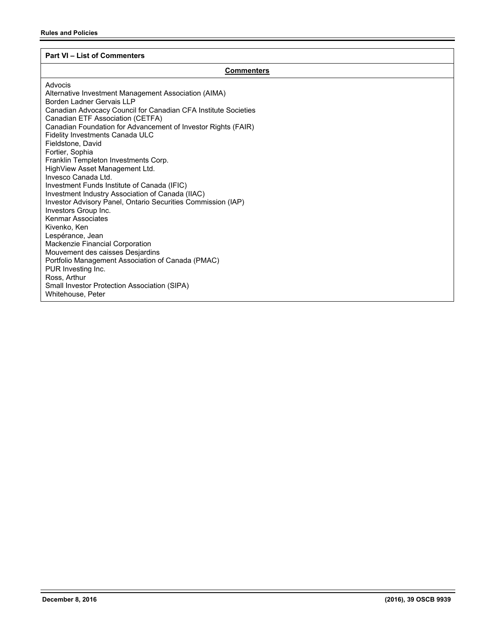# **Part VI – List of Commenters**

# **Commenters**

| Advocis                                                        |
|----------------------------------------------------------------|
| Alternative Investment Management Association (AIMA)           |
| Borden Ladner Gervais I I P                                    |
| Canadian Advocacy Council for Canadian CFA Institute Societies |
| Canadian ETF Association (CETFA)                               |
| Canadian Foundation for Advancement of Investor Rights (FAIR)  |
| <b>Fidelity Investments Canada ULC</b>                         |
| Fieldstone, David                                              |
| Fortier, Sophia                                                |
| Franklin Templeton Investments Corp.                           |
| HighView Asset Management Ltd.                                 |
| Invesco Canada Ltd.                                            |
| Investment Funds Institute of Canada (IFIC)                    |
| Investment Industry Association of Canada (IIAC)               |
| Investor Advisory Panel, Ontario Securities Commission (IAP)   |
| Investors Group Inc.                                           |
| <b>Kenmar Associates</b>                                       |
| Kivenko, Ken                                                   |
| Lespérance, Jean                                               |
| Mackenzie Financial Corporation                                |
| Mouvement des caisses Desjardins                               |
| Portfolio Management Association of Canada (PMAC)              |
| PUR Investing Inc.                                             |
| Ross, Arthur                                                   |
| Small Investor Protection Association (SIPA)                   |
| Whitehouse, Peter                                              |
|                                                                |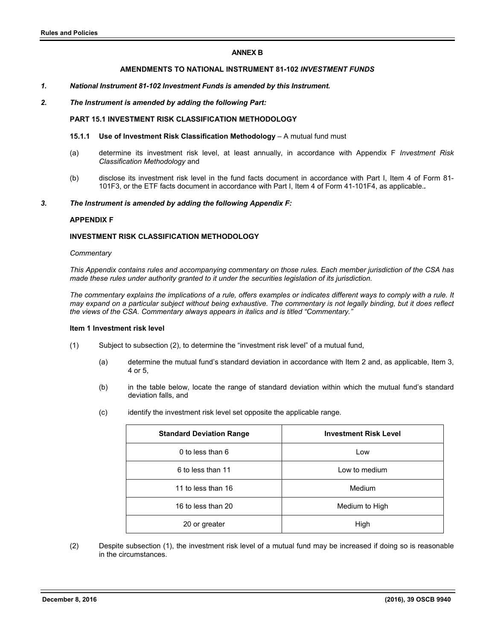# **ANNEX B**

# **AMENDMENTS TO NATIONAL INSTRUMENT 81-102** *INVESTMENT FUNDS*

#### *1. National Instrument 81-102 Investment Funds is amended by this Instrument.*

# *2. The Instrument is amended by adding the following Part:*

# **PART 15.1 INVESTMENT RISK CLASSIFICATION METHODOLOGY**

#### **15.1.1 Use of Investment Risk Classification Methodology** – A mutual fund must

- (a) determine its investment risk level, at least annually, in accordance with Appendix F *Investment Risk Classification Methodology* and
- (b) disclose its investment risk level in the fund facts document in accordance with Part I, Item 4 of Form 81- 101F3, or the ETF facts document in accordance with Part I, Item 4 of Form 41-101F4, as applicable.*.*

#### *3. The Instrument is amended by adding the following Appendix F:*

#### **APPENDIX F**

# **INVESTMENT RISK CLASSIFICATION METHODOLOGY**

#### *Commentary*

*This Appendix contains rules and accompanying commentary on those rules. Each member jurisdiction of the CSA has made these rules under authority granted to it under the securities legislation of its jurisdiction.* 

*The commentary explains the implications of a rule, offers examples or indicates different ways to comply with a rule. It may expand on a particular subject without being exhaustive. The commentary is not legally binding, but it does reflect the views of the CSA. Commentary always appears in italics and is titled "Commentary."* 

#### **Item 1 Investment risk level**

- (1) Subject to subsection (2), to determine the "investment risk level" of a mutual fund,
	- (a) determine the mutual fund's standard deviation in accordance with Item 2 and, as applicable, Item 3, 4 or 5,
	- (b) in the table below, locate the range of standard deviation within which the mutual fund's standard deviation falls, and
	- (c) identify the investment risk level set opposite the applicable range.

| <b>Standard Deviation Range</b> | <b>Investment Risk Level</b> |
|---------------------------------|------------------------------|
| 0 to less than 6                | Low                          |
| 6 to less than 11               | Low to medium                |
| 11 to less than 16              | Medium                       |
| 16 to less than 20              | Medium to High               |
| 20 or greater                   | High                         |

(2) Despite subsection (1), the investment risk level of a mutual fund may be increased if doing so is reasonable in the circumstances.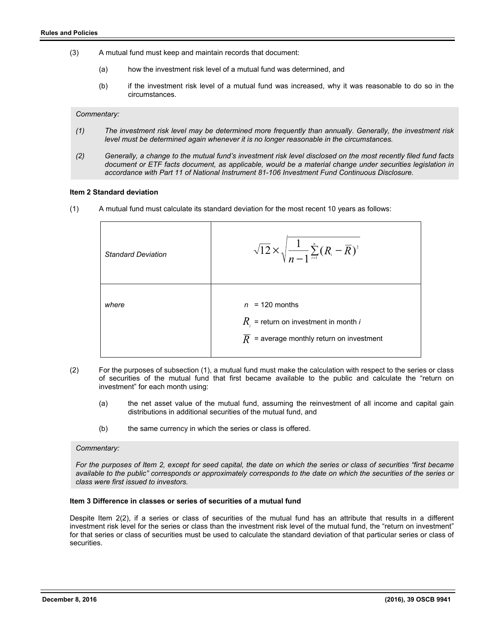- (3) A mutual fund must keep and maintain records that document:
	- (a) how the investment risk level of a mutual fund was determined, and
	- (b) if the investment risk level of a mutual fund was increased, why it was reasonable to do so in the circumstances.

*Commentary:* 

- *(1) The investment risk level may be determined more frequently than annually. Generally, the investment risk level must be determined again whenever it is no longer reasonable in the circumstances.*
- *(2) Generally, a change to the mutual fund's investment risk level disclosed on the most recently filed fund facts document or ETF facts document, as applicable, would be a material change under securities legislation in accordance with Part 11 of National Instrument 81-106 Investment Fund Continuous Disclosure.*

#### **Item 2 Standard deviation**

(1) A mutual fund must calculate its standard deviation for the most recent 10 years as follows:

| <b>Standard Deviation</b> | $\sqrt{12}\times\sqrt{\frac{1}{n-1}\sum_{i=1}^n(R_i-\overline{R})^2}$                                                       |
|---------------------------|-----------------------------------------------------------------------------------------------------------------------------|
| where                     | $n = 120$ months<br>$R_i$ = return on investment in month <i>i</i><br>$\overline{R}$ = average monthly return on investment |

- (2) For the purposes of subsection (1), a mutual fund must make the calculation with respect to the series or class of securities of the mutual fund that first became available to the public and calculate the "return on investment" for each month using:
	- (a) the net asset value of the mutual fund, assuming the reinvestment of all income and capital gain distributions in additional securities of the mutual fund, and
	- (b) the same currency in which the series or class is offered.

#### *Commentary:*

*For the purposes of Item 2, except for seed capital, the date on which the series or class of securities "first became available to the public" corresponds or approximately corresponds to the date on which the securities of the series or class were first issued to investors.*

#### **Item 3 Difference in classes or series of securities of a mutual fund**

Despite Item 2(2), if a series or class of securities of the mutual fund has an attribute that results in a different investment risk level for the series or class than the investment risk level of the mutual fund, the "return on investment" for that series or class of securities must be used to calculate the standard deviation of that particular series or class of securities.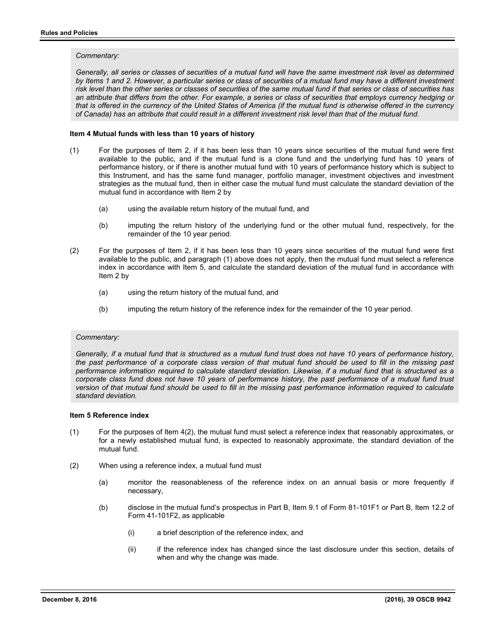#### *Commentary:*

Generally, all series or classes of securities of a mutual fund will have the same investment risk level as determined by Items 1 and 2. However, a particular series or class of securities of a mutual fund may have a different investment *risk level than the other series or classes of securities of the same mutual fund if that series or class of securities has an attribute that differs from the other. For example, a series or class of securities that employs currency hedging or that is offered in the currency of the United States of America (if the mutual fund is otherwise offered in the currency of Canada) has an attribute that could result in a different investment risk level than that of the mutual fund.* 

# **Item 4 Mutual funds with less than 10 years of history**

- (1) For the purposes of Item 2, if it has been less than 10 years since securities of the mutual fund were first available to the public, and if the mutual fund is a clone fund and the underlying fund has 10 years of performance history, or if there is another mutual fund with 10 years of performance history which is subject to this Instrument, and has the same fund manager, portfolio manager, investment objectives and investment strategies as the mutual fund, then in either case the mutual fund must calculate the standard deviation of the mutual fund in accordance with Item 2 by
	- (a) using the available return history of the mutual fund, and
	- (b) imputing the return history of the underlying fund or the other mutual fund, respectively, for the remainder of the 10 year period.
- (2) For the purposes of Item 2, if it has been less than 10 years since securities of the mutual fund were first available to the public, and paragraph (1) above does not apply, then the mutual fund must select a reference index in accordance with Item 5, and calculate the standard deviation of the mutual fund in accordance with Item 2 by
	- (a) using the return history of the mutual fund, and
	- (b) imputing the return history of the reference index for the remainder of the 10 year period.

#### *Commentary:*

*Generally, if a mutual fund that is structured as a mutual fund trust does not have 10 years of performance history, the past performance of a corporate class version of that mutual fund should be used to fill in the missing past performance information required to calculate standard deviation. Likewise, if a mutual fund that is structured as a corporate class fund does not have 10 years of performance history, the past performance of a mutual fund trust*  version of that mutual fund should be used to fill in the missing past performance information required to calculate *standard deviation.* 

#### **Item 5 Reference index**

- (1) For the purposes of Item 4(2), the mutual fund must select a reference index that reasonably approximates, or for a newly established mutual fund, is expected to reasonably approximate, the standard deviation of the mutual fund.
- (2) When using a reference index, a mutual fund must
	- (a) monitor the reasonableness of the reference index on an annual basis or more frequently if necessary,
	- (b) disclose in the mutual fund's prospectus in Part B, Item 9.1 of Form 81-101F1 or Part B, Item 12.2 of Form 41-101F2, as applicable
		- (i) a brief description of the reference index, and
		- (ii) if the reference index has changed since the last disclosure under this section, details of when and why the change was made.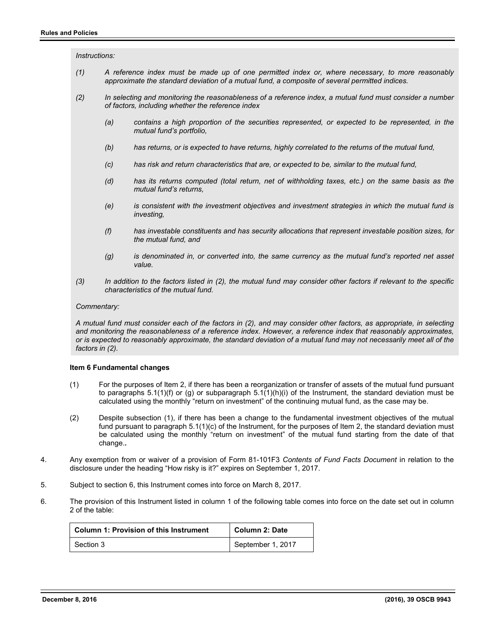#### *Instructions:*

- *(1) A reference index must be made up of one permitted index or, where necessary, to more reasonably approximate the standard deviation of a mutual fund, a composite of several permitted indices.*
- *(2) In selecting and monitoring the reasonableness of a reference index, a mutual fund must consider a number of factors, including whether the reference index* 
	- *(a) contains a high proportion of the securities represented, or expected to be represented, in the mutual fund's portfolio,*
	- *(b) has returns, or is expected to have returns, highly correlated to the returns of the mutual fund,*
	- *(c) has risk and return characteristics that are, or expected to be, similar to the mutual fund,*
	- *(d) has its returns computed (total return, net of withholding taxes, etc.) on the same basis as the mutual fund's returns,*
	- *(e) is consistent with the investment objectives and investment strategies in which the mutual fund is investing,*
	- *(f) has investable constituents and has security allocations that represent investable position sizes, for the mutual fund, and*
	- *(g) is denominated in, or converted into, the same currency as the mutual fund's reported net asset value.*
- *(3) In addition to the factors listed in (2), the mutual fund may consider other factors if relevant to the specific characteristics of the mutual fund.*

#### *Commentary:*

*A mutual fund must consider each of the factors in (2), and may consider other factors, as appropriate, in selecting and monitoring the reasonableness of a reference index. However, a reference index that reasonably approximates, or is expected to reasonably approximate, the standard deviation of a mutual fund may not necessarily meet all of the factors in (2).* 

#### **Item 6 Fundamental changes**

- (1) For the purposes of Item 2, if there has been a reorganization or transfer of assets of the mutual fund pursuant to paragraphs 5.1(1)(f) or (g) or subparagraph 5.1(1)(h)(i) of the Instrument, the standard deviation must be calculated using the monthly "return on investment" of the continuing mutual fund, as the case may be.
- (2) Despite subsection (1), if there has been a change to the fundamental investment objectives of the mutual fund pursuant to paragraph 5.1(1)(c) of the Instrument, for the purposes of Item 2, the standard deviation must be calculated using the monthly "return on investment" of the mutual fund starting from the date of that change.*.*
- 4. Any exemption from or waiver of a provision of Form 81-101F3 *Contents of Fund Facts Document* in relation to the disclosure under the heading "How risky is it?" expires on September 1, 2017.
- 5. Subject to section 6, this Instrument comes into force on March 8, 2017.
- 6. The provision of this Instrument listed in column 1 of the following table comes into force on the date set out in column 2 of the table:

| <b>Column 1: Provision of this Instrument</b> | <b>Column 2: Date</b> |
|-----------------------------------------------|-----------------------|
| Section 3                                     | September 1, 2017     |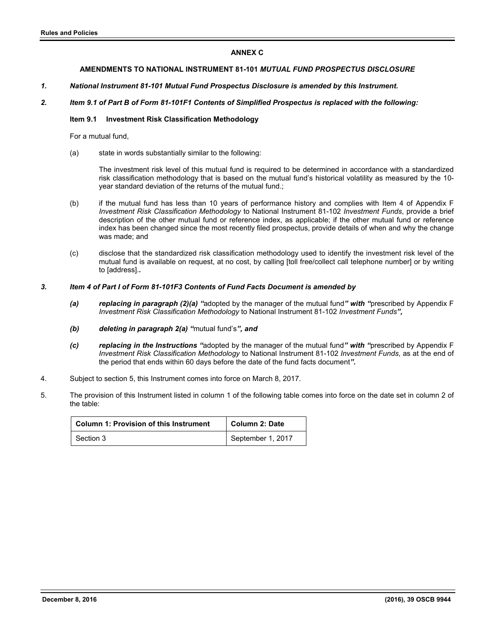# **ANNEX C**

# **AMENDMENTS TO NATIONAL INSTRUMENT 81-101** *MUTUAL FUND PROSPECTUS DISCLOSURE*

# *1. National Instrument 81-101 Mutual Fund Prospectus Disclosure is amended by this Instrument.*

# *2. Item 9.1 of Part B of Form 81-101F1 Contents of Simplified Prospectus is replaced with the following:*

## **Item 9.1 Investment Risk Classification Methodology**

For a mutual fund,

(a) state in words substantially similar to the following:

The investment risk level of this mutual fund is required to be determined in accordance with a standardized risk classification methodology that is based on the mutual fund's historical volatility as measured by the 10 year standard deviation of the returns of the mutual fund.;

- (b) if the mutual fund has less than 10 years of performance history and complies with Item 4 of Appendix F *Investment Risk Classification Methodology* to National Instrument 81-102 *Investment Funds*, provide a brief description of the other mutual fund or reference index, as applicable; if the other mutual fund or reference index has been changed since the most recently filed prospectus, provide details of when and why the change was made; and
- (c) disclose that the standardized risk classification methodology used to identify the investment risk level of the mutual fund is available on request, at no cost, by calling [toll free/collect call telephone number] or by writing to [address].*.*

## *3. Item 4 of Part I of Form 81-101F3 Contents of Fund Facts Document is amended by*

- *(a) replacing in paragraph (2)(a) "*adopted by the manager of the mutual fund*" with "*prescribed by Appendix F *Investment Risk Classification Methodology* to National Instrument 81-102 *Investment Funds",*
- *(b) deleting in paragraph 2(a) "*mutual fund's*", and*
- *(c) replacing in the Instructions "*adopted by the manager of the mutual fund*" with "*prescribed by Appendix F *Investment Risk Classification Methodology* to National Instrument 81-102 *Investment Funds*, as at the end of the period that ends within 60 days before the date of the fund facts document*".*
- 4. Subject to section 5, this Instrument comes into force on March 8, 2017.
- 5. The provision of this Instrument listed in column 1 of the following table comes into force on the date set in column 2 of the table:

| <b>Column 1: Provision of this Instrument</b> | <b>Column 2: Date</b> |
|-----------------------------------------------|-----------------------|
| Section 3                                     | September 1, 2017     |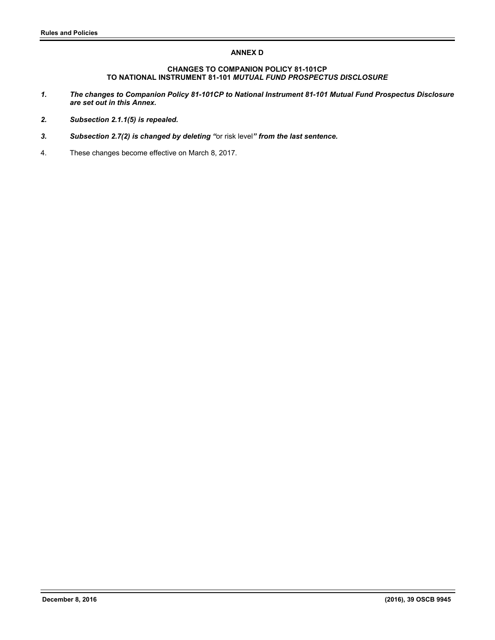# **ANNEX D**

# **CHANGES TO COMPANION POLICY 81-101CP TO NATIONAL INSTRUMENT 81-101** *MUTUAL FUND PROSPECTUS DISCLOSURE*

- *1. The changes to Companion Policy 81-101CP to National Instrument 81-101 Mutual Fund Prospectus Disclosure are set out in this Annex.*
- *2. Subsection 2.1.1(5) is repealed.*
- *3. Subsection 2.7(2) is changed by deleting "*or risk level*" from the last sentence.*
- 4. These changes become effective on March 8, 2017.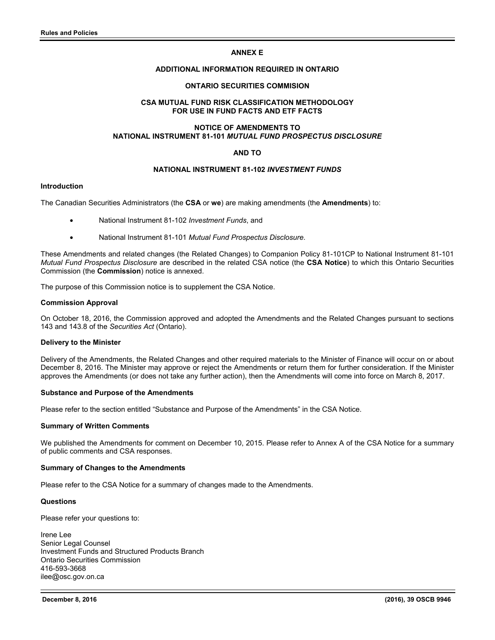# **ANNEX E**

# **ADDITIONAL INFORMATION REQUIRED IN ONTARIO**

# **ONTARIO SECURITIES COMMISION**

# **CSA MUTUAL FUND RISK CLASSIFICATION METHODOLOGY FOR USE IN FUND FACTS AND ETF FACTS**

# **NOTICE OF AMENDMENTS TO NATIONAL INSTRUMENT 81-101** *MUTUAL FUND PROSPECTUS DISCLOSURE*

# **AND TO**

# **NATIONAL INSTRUMENT 81-102** *INVESTMENT FUNDS*

#### **Introduction**

The Canadian Securities Administrators (the **CSA** or **we**) are making amendments (the **Amendments**) to:

- National Instrument 81-102 *Investment Funds*, and
- National Instrument 81-101 *Mutual Fund Prospectus Disclosure*.

These Amendments and related changes (the Related Changes) to Companion Policy 81-101CP to National Instrument 81-101 *Mutual Fund Prospectus Disclosure* are described in the related CSA notice (the **CSA Notice**) to which this Ontario Securities Commission (the **Commission**) notice is annexed.

The purpose of this Commission notice is to supplement the CSA Notice.

#### **Commission Approval**

On October 18, 2016, the Commission approved and adopted the Amendments and the Related Changes pursuant to sections 143 and 143.8 of the *Securities Act* (Ontario).

#### **Delivery to the Minister**

Delivery of the Amendments, the Related Changes and other required materials to the Minister of Finance will occur on or about December 8, 2016. The Minister may approve or reject the Amendments or return them for further consideration. If the Minister approves the Amendments (or does not take any further action), then the Amendments will come into force on March 8, 2017.

#### **Substance and Purpose of the Amendments**

Please refer to the section entitled "Substance and Purpose of the Amendments" in the CSA Notice.

#### **Summary of Written Comments**

We published the Amendments for comment on December 10, 2015. Please refer to Annex A of the CSA Notice for a summary of public comments and CSA responses.

#### **Summary of Changes to the Amendments**

Please refer to the CSA Notice for a summary of changes made to the Amendments.

# **Questions**

Please refer your questions to:

Irene Lee Senior Legal Counsel Investment Funds and Structured Products Branch Ontario Securities Commission 416-593-3668 ilee@osc.gov.on.ca